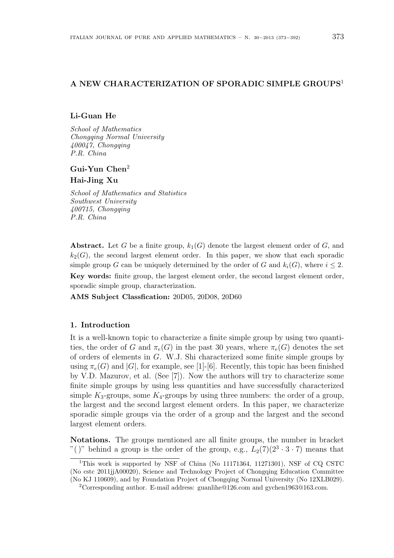# **A NEW CHARACTERIZATION OF SPORADIC SIMPLE GROUPS**<sup>1</sup>

## **Li-Guan He**

*School of Mathematics Chongqing Normal University 400047, Chongqing P.R. China*

## **Gui-Yun Chen**<sup>2</sup>

#### **Hai-Jing Xu**

*School of Mathematics and Statistics Southwest University 400715, Chongqing P.R. China*

**Abstract.** Let *G* be a finite group,  $k_1(G)$  denote the largest element order of *G*, and  $k_2(G)$ , the second largest element order. In this paper, we show that each sporadic simple group *G* can be uniquely determined by the order of *G* and  $k_i(G)$ , where  $i \leq 2$ . **Key words:** finite group, the largest element order, the second largest element order, sporadic simple group, characterization.

**AMS Subject Classfication:** 20D05, 20D08, 20D60

### **1. Introduction**

It is a well-known topic to characterize a finite simple group by using two quantities, the order of *G* and  $\pi_e(G)$  in the past 30 years, where  $\pi_e(G)$  denotes the set of orders of elements in *G*. W.J. Shi characterized some finite simple groups by using  $\pi_e(G)$  and  $|G|$ , for example, see [1]-[6]. Recently, this topic has been finished by V.D. Mazurov, et al. (See [7]). Now the authors will try to characterize some finite simple groups by using less quantities and have successfully characterized simple  $K_3$ -groups, some  $K_4$ -groups by using three numbers: the order of a group, the largest and the second largest element orders. In this paper, we characterize sporadic simple groups via the order of a group and the largest and the second largest element orders.

**Notations.** The groups mentioned are all finite groups, the number in bracket "()" behind a group is the order of the group, e.g.,  $L_2(7)(2^3 \cdot 3 \cdot 7)$  means that

<sup>&</sup>lt;sup>1</sup>This work is supported by NSF of China (No 11171364, 11271301), NSF of CQ CSTC (No cstc 2011jjA00020), Science and Technology Project of Chongqing Education Committee (No KJ 110609), and by Foundation Project of Chongqing Normal University (No 12XLB029).

<sup>2</sup>Corresponding author. E-mail address: guanlihe@126.com and gychen1963@163.com.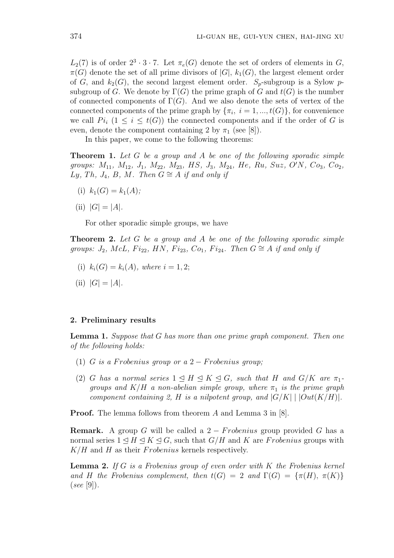$L_2(7)$  is of order  $2^3 \cdot 3 \cdot 7$ . Let  $\pi_e(G)$  denote the set of orders of elements in *G*,  $\pi(G)$  denote the set of all prime divisors of  $|G|$ ,  $k_1(G)$ , the largest element order of *G*, and  $k_2(G)$ , the second largest element order.  $S_p$ -subgroup is a Sylow *p*subgroup of *G*. We denote by  $\Gamma(G)$  the prime graph of *G* and  $t(G)$  is the number of connected components of  $\Gamma(G)$ . And we also denote the sets of vertex of the connected components of the prime graph by  $\{\pi_i, i = 1, ..., t(G)\}\$ , for convenience we call  $Pi_i$  (1  $\leq i \leq t(G)$ ) the connected components and if the order of *G* is even, denote the component containing 2 by  $\pi_1$  (see [8]).

In this paper, we come to the following theorems:

**Theorem 1.** *Let G be a group and A be one of the following sporadic simple* groups:  $M_{11}$ ,  $M_{12}$ ,  $J_1$ ,  $M_{22}$ ,  $M_{23}$ , HS,  $J_3$ ,  $M_{24}$ , He, Ru, Suz, O'N, Co<sub>3</sub>, Co<sub>2</sub>, *Ly*, *Th*, *J*<sub>4</sub>, *B*, *M*. *Then*  $G \cong A$  *if and only if* 

- (i)  $k_1(G) = k_1(A);$
- $|G| = |A|$ .

For other sporadic simple groups, we have

**Theorem 2.** *Let G be a group and A be one of the following sporadic simple groups:*  $J_2$ *,*  $McL$ *,*  $Fi_{22}$ *,*  $HN$ *,*  $Fi_{23}$ *,*  $Co_1$ *,*  $Fi_{24}$ *. Then*  $G \cong A$  *if and only if* 

- (i)  $k_i(G) = k_i(A)$ *, where*  $i = 1, 2$ ;
- $|G| = |A|$ .

#### **2. Preliminary results**

**Lemma 1.** *Suppose that G has more than one prime graph component. Then one of the following holds:*

- (1) *G is a Frobenius group or a*  $2 -$  *Frobenius group*;
- (2) *G* has a normal series  $1 \leq H \leq K \leq G$ , such that *H* and  $G/K$  are  $\pi_1$ *groups and*  $K/H$  *a non-abelian simple group, where*  $\pi_1$  *is the prime graph component containing 2, H is a nilpotent group, and*  $|G/K|$  |  $|Out(K/H)|$ .

**Proof.** The lemma follows from theorem *A* and Lemma 3 in [8].

**Remark.** A group *G* will be called a 2 *− F robenius* group provided *G* has a normal series  $1 \leq H \leq K \leq G$ , such that  $G/H$  and K are *Frobenius* groups with *K/H* and *H* as their *F robenius* kernels respectively.

**Lemma 2.** *If G is a Frobenius group of even order with K the Frobenius kernel and H the Frobenius complement, then*  $t(G) = 2$  *and*  $\Gamma(G) = \{\pi(H), \pi(K)\}\$ (*see* [9])*.*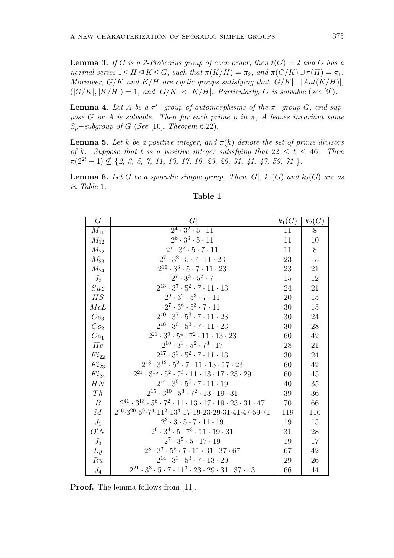**Lemma 3.** If *G* is a 2-Frobenius group of even order, then  $t(G) = 2$  and *G* has a *normal series*  $1 \leq H \leq K \leq G$ *, such that*  $\pi(K/H) = \pi_2$ *, and*  $\pi(G/K) \cup \pi(H) = \pi_1$ *. Moreover,*  $G/K$  *and*  $K/H$  *are cyclic groups satisfying that*  $|G/K|$  |  $|Aut(K/H)|$ ,  $(|G/K|, |K/H|) = 1$ , and  $|G/K| < |K/H|$ . Particularly, G is solvable (see [9]).

**Lemma 4.** Let  $A$  be a  $\pi'$ -group of automorphisms of the  $\pi$ -group  $G$ , and sup*pose G or A is solvable. Then for each prime p in*  $\pi$ *, A leaves invariant some Sp−subgroup of G* (*See* [10], *Theorem* 6.22).

**Lemma 5.** Let *k* be a positive integer, and  $\pi(k)$  denote the set of prime divisors *of k.* Suppose that *t is a positive integer satisfying that*  $22 \le t \le 46$ *. Then*  $\pi(2^{2t} - 1) \nsubseteq \{2, 3, 5, 7, 11, 13, 17, 19, 23, 29, 31, 41, 47, 59, 71\}$ 

**Lemma 6.** Let *G* be a sporadic simple group. Then  $|G|$ ,  $k_1(G)$  and  $k_2(G)$  are as *in Table* 1:

| $G\$               | G                                                                                                                                  | $k_1(G)$ | $k_2(G)$ |
|--------------------|------------------------------------------------------------------------------------------------------------------------------------|----------|----------|
| $M_{11}$           | $\overline{2^4\cdot 3^2\cdot 5\cdot 11}$                                                                                           | 11       | 8        |
| $M_{12}$           | $2^6\cdot 3^3\cdot 5\cdot 11$                                                                                                      | 11       | 10       |
| $\mathcal{M}_{22}$ | $2^7 \cdot 3^2 \cdot 5 \cdot 7 \cdot 11$                                                                                           | 11       | $8\,$    |
| $M_{23}$           | $2^7\cdot 3^2\cdot 5\cdot 7\cdot 11\cdot 23$                                                                                       | 23       | 15       |
| $M_{24}$           | $2^{10} \cdot 3^3 \cdot 5 \cdot 7 \cdot 11 \cdot 23$                                                                               | 23       | 21       |
| $J_2$              | $2^7 \cdot 3^3 \cdot 5^2 \cdot 7$                                                                                                  | 15       | 12       |
| Suz                | $2^{13}\cdot 3^7\cdot 5^2\cdot 7\cdot 11\cdot 13$                                                                                  | 24       | 21       |
| HS                 | $2^9\cdot 3^2\cdot 5^3\cdot 7\cdot 11$                                                                                             | 20       | 15       |
| McL                | $2^7\cdot 3^6\cdot 5^3\cdot 7\cdot 11$                                                                                             | 30       | 15       |
| Co <sub>3</sub>    | $2^{10}\cdot 3^7\cdot 5^3\cdot 7\cdot 11\cdot 23$                                                                                  | 30       | 24       |
| Co <sub>2</sub>    | $2^{18}\cdot 3^6\cdot 5^3\cdot 7\cdot 11\cdot 23$                                                                                  | 30       | 28       |
| Co <sub>1</sub>    | $2^{21}\cdot 3^9\cdot 5^4\cdot 7^2\cdot 11\cdot 13\cdot 23$                                                                        | 60       | 42       |
| He                 | $2^{10}\cdot 3^3\cdot 5^2\cdot 7^3\cdot 17$                                                                                        | 28       | 21       |
| $Fi_{22}$          | $2^{17}\cdot 3^9\cdot 5^2\cdot 7\cdot 11\cdot 13$                                                                                  | 30       | 24       |
| $Fi_{23}$          | $2^{18}\cdot 3^{13}\cdot 5^2\cdot 7\cdot 11\cdot 13\cdot 17\cdot 23$                                                               | 60       | 42       |
| $Fi_{24}$          | $2^{21}\cdot 3^{16}\cdot 5^2\cdot 7^3\cdot 11\cdot 13\cdot 17\cdot 23\cdot 29$                                                     | 60       | $45\,$   |
| HN                 | $2^{14}\cdot 3^6\cdot 5^6\cdot 7\cdot 11\cdot 19$                                                                                  | 40       | 35       |
| Th                 | $2^{15}\cdot 3^{10}\cdot 5^3\cdot 7^2\cdot 13\cdot 19\cdot 31$                                                                     | 39       | 36       |
| $\boldsymbol{B}$   | $2^{41}\cdot 3^{13}\cdot 5^6\cdot 7^2\cdot 11\cdot 13\cdot 17\cdot 19\cdot 23\cdot 31\cdot 47$                                     | 70       | 66       |
| $\cal M$           | $2^{46}\cdot 3^{20}\cdot 5^9\cdot 7^6\cdot 11^2\cdot 13^3\cdot 17\cdot 19\cdot 23\cdot 29\cdot 31\cdot 41\cdot 47\cdot 59\cdot 71$ | 119      | 110      |
| $J_1$              | $2^3\cdot 3\cdot 5\cdot 7\cdot 11\cdot 19$                                                                                         | 19       | 15       |
| O'N                | $2^9\cdot 3^4\cdot 5\cdot 7^3\cdot 11\cdot 19\cdot 31$                                                                             | 31       | 28       |
| $J_3$              | $2^7\cdot 3^5\cdot 5\cdot 17\cdot 19$                                                                                              | 19       | 17       |
| Ly                 | $2^8\cdot 3^7\cdot 5^6\cdot 7\cdot 11\cdot 31\cdot 37\cdot 67$                                                                     | 67       | 42       |
| Ru                 | $2^{14}\cdot 3^3\cdot 5^3\cdot 7\cdot 13\cdot 29$                                                                                  | 29       | 26       |
| $J_4$              | $2^{21}\cdot 3^3\cdot 5\cdot 7\cdot 11^3\cdot 23\cdot 29\cdot 31\cdot 37\cdot 43$                                                  | 66       | 44       |

# **Table 1**

**Proof.** The lemma follows from [11].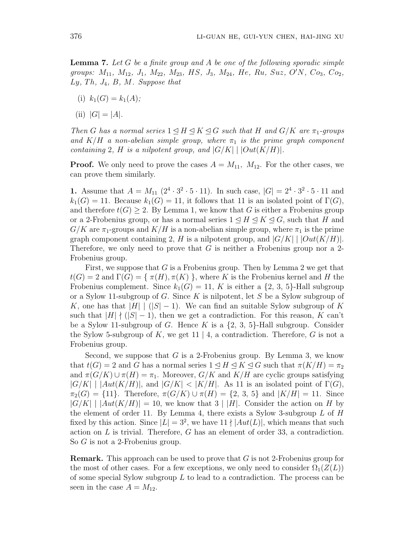**Lemma 7.** *Let G be a finite group and A be one of the following sporadic simple* groups:  $M_{11}$ ,  $M_{12}$ ,  $J_1$ ,  $M_{22}$ ,  $M_{23}$ , HS,  $J_3$ ,  $M_{24}$ , He, Ru, Suz, O'N, Co<sub>3</sub>, Co<sub>2</sub>, *Ly, T h, J*4*, B, M. Suppose that*

- (i)  $k_1(G) = k_1(A)$ ;
- $|G| = |A|$ .

*Then G has a normal series*  $1 \leq H \leq K \leq G$  *such that H and*  $G/K$  *are*  $\pi_1$ *-groups* and  $K/H$  *a non-abelian simple group, where*  $\pi_1$  *is the prime graph component containing* 2*, H is a nilpotent group, and*  $|G/K|$   $|Out(K/H)|$ *.* 

**Proof.** We only need to prove the cases  $A = M_{11}$ ,  $M_{12}$ . For the other cases, we can prove them similarly.

**1.** Assume that  $A = M_{11} (2^4 \cdot 3^2 \cdot 5 \cdot 11)$ . In such case,  $|G| = 2^4 \cdot 3^2 \cdot 5 \cdot 11$  and  $k_1(G) = 11$ . Because  $k_1(G) = 11$ , it follows that 11 is an isolated point of  $\Gamma(G)$ , and therefore  $t(G) \geq 2$ . By Lemma 1, we know that G is either a Frobenius group or a 2-Frobenius group, or has a normal series  $1 \leq H \leq K \leq G$ , such that *H* and  $G/K$  are  $\pi_1$ -groups and  $K/H$  is a non-abelian simple group, where  $\pi_1$  is the prime graph component containing 2, *H* is a nilpotent group, and  $|G/K|$   $|Out(K/H)|$ . Therefore, we only need to prove that *G* is neither a Frobenius group nor a 2- Frobenius group.

First, we suppose that *G* is a Frobenius group. Then by Lemma 2 we get that  $t(G) = 2$  and  $\Gamma(G) = \{ \pi(H), \pi(K) \}$ , where *K* is the Frobenius kernel and *H* the Frobenius complement. Since  $k_1(G) = 11$ , K is either a  $\{2, 3, 5\}$ -Hall subgroup or a Sylow 11-subgroup of *G*. Since *K* is nilpotent, let *S* be a Sylow subgroup of *K*, one has that  $|H|$  | ( $|S|-1$ ). We can find an suitable Sylow subgroup of *K* such that  $|H| \nmid (|S| - 1)$ , then we get a contradiction. For this reason, *K* can't be a Sylow 11-subgroup of *G*. Hence *K* is a *{*2, 3, 5*}*-Hall subgroup. Consider the Sylow 5-subgroup of *K*, we get 11 *|* 4, a contradiction. Therefore, *G* is not a Frobenius group.

Second, we suppose that *G* is a 2-Frobenius group. By Lemma 3, we know that  $t(G) = 2$  and *G* has a normal series  $1 \leq H \leq K \leq G$  such that  $\pi(K/H) = \pi_2$ and  $\pi(G/K) \cup \pi(H) = \pi_1$ . Moreover,  $G/K$  and  $K/H$  are cyclic groups satisfying  $|G/K|$  |  $|Aut(K/H)|$ , and  $|G/K| < |K/H|$ . As 11 is an isolated point of  $\Gamma(G)$ ,  $\pi_2(G) = \{11\}$ . Therefore,  $\pi(G/K) \cup \pi(H) = \{2, 3, 5\}$  and  $|K/H| = 11$ . Since  $|G/K|$  |  $|Aut(K/H)| = 10$ , we know that 3 | |*H*|. Consider the action on *H* by the element of order 11. By Lemma 4, there exists a Sylow 3-subgroup *L* of *H* fixed by this action. Since  $|L| = 3^2$ , we have  $11 \nmid |Aut(L)|$ , which means that such action on *L* is trivial. Therefore, *G* has an element of order 33, a contradiction. So *G* is not a 2-Frobenius group.

**Remark.** This approach can be used to prove that *G* is not 2-Frobenius group for the most of other cases. For a few exceptions, we only need to consider  $\Omega_1(Z(L))$ of some special Sylow subgroup *L* to lead to a contradiction. The process can be seen in the case  $A = M_{12}$ .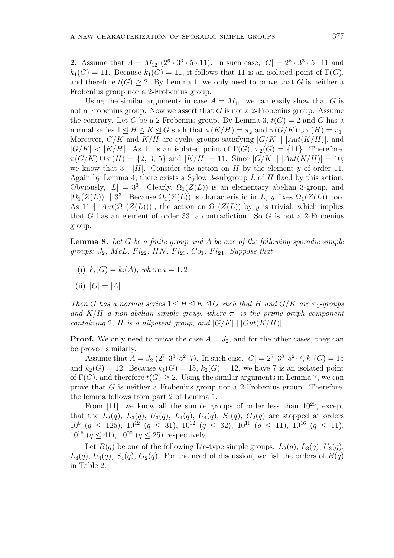**2.** Assume that  $A = M_{12} (2^6 \cdot 3^3 \cdot 5 \cdot 11)$ . In such case,  $|G| = 2^6 \cdot 3^3 \cdot 5 \cdot 11$  and  $k_1(G) = 11$ . Because  $k_1(G) = 11$ , it follows that 11 is an isolated point of  $\Gamma(G)$ , and therefore  $t(G) \geq 2$ . By Lemma 1, we only need to prove that *G* is neither a Frobenius group nor a 2-Frobenius group.

Using the similar arguments in case  $A = M_{11}$ , we can easily show that *G* is not a Frobenius group. Now we assert that *G* is not a 2-Frobenius group. Assume the contrary. Let *G* be a 2-Frobenius group. By Lemma 3,  $t(G) = 2$  and *G* has a normal series  $1 \leq H \leq K \leq G$  such that  $\pi(K/H) = \pi_2$  and  $\pi(G/K) \cup \pi(H) = \pi_1$ . Moreover,  $G/K$  and  $K/H$  are cyclic groups satisfying  $|G/K|$  |  $|Aut(K/H)|$ , and  $|G/K| < |K/H|$ . As 11 is an isolated point of  $\Gamma(G)$ ,  $\pi_2(G) = \{11\}$ . Therefore,  $\pi(G/K) \cup \pi(H) = \{2, 3, 5\}$  and  $|K/H| = 11$ . Since  $|G/K|$  |  $|Aut(K/H)| = 10$ , we know that  $3 \mid |H|$ . Consider the action on *H* by the element *y* of order 11. Again by Lemma 4, there exists a Sylow 3-subgroup *L* of *H* fixed by this action. Obviously,  $|L| = 3^3$ . Clearly,  $\Omega_1(Z(L))$  is an elementary abelian 3-group, and  $|\Omega_1(Z(L))|$  | 3<sup>3</sup>. Because  $\Omega_1(Z(L))$  is characteristic in *L*, *y* fixes  $\Omega_1(Z(L))$  too. As  $11 \nmid |Aut(\Omega_1(Z(L)))|$ , the action on  $\Omega_1(Z(L))$  by *y* is trivial, which implies that *G* has an element of order 33, a contradiction. So *G* is not a 2-Frobenius group.

**Lemma 8.** *Let G be a finite group and A be one of the following sporadic simple groups:*  $J_2$ *, McL, Fi*<sub>22</sub>*, HN, Fi*<sub>23</sub>*, Co*<sub>1</sub>*, Fi*<sub>24</sub>*. Suppose that* 

- (i)  $k_i(G) = k_i(A)$ *, where*  $i = 1, 2$ *;*
- $|G| = |A|$ .

*Then G has a normal series*  $1 \leq H \leq K \leq G$  *such that H and*  $G/K$  *are*  $\pi_1$ *-groups* and  $K/H$  *a non-abelian simple group, where*  $\pi_1$  *is the prime graph component containing* 2*, H is a nilpotent group, and*  $|G/K|$   $|Out(K/H)|$ *.* 

**Proof.** We only need to prove the case  $A = J_2$ , and for the other cases, they can be proved similarly.

Assume that  $A = J_2(2^7 \cdot 3^3 \cdot 5^2 \cdot 7)$ . In such case,  $|G| = 2^7 \cdot 3^3 \cdot 5^2 \cdot 7$ ,  $k_1(G) = 15$ and  $k_2(G) = 12$ . Because  $k_1(G) = 15$ ,  $k_2(G) = 12$ , we have 7 is an isolated point of  $\Gamma(G)$ , and therefore  $t(G) \geq 2$ . Using the similar arguments in Lemma 7, we can prove that *G* is neither a Frobenius group nor a 2-Frobenius group. Therefore, the lemma follows from part 2 of Lemma 1.

From [11], we know all the simple groups of order less than  $10^{25}$ , except that the  $L_2(q)$ ,  $L_3(q)$ ,  $U_3(q)$ ,  $L_4(q)$ ,  $U_4(q)$ ,  $S_4(q)$ ,  $G_2(q)$  are stopped at orders  $10^6$  ( $q \le 125$ ),  $10^{12}$  ( $q \le 31$ ),  $10^{12}$  ( $q \le 32$ ),  $10^{16}$  ( $q \le 11$ ),  $10^{16}$  ( $q \le 11$ ), 10<sup>16</sup>  $(q \le 41)$ , 10<sup>20</sup>  $(q \le 25)$  respectively.

Let  $B(q)$  be one of the following Lie-type simple groups:  $L_2(q)$ ,  $L_3(q)$ ,  $U_3(q)$ ,  $L_4(q)$ ,  $U_4(q)$ ,  $S_4(q)$ ,  $G_2(q)$ . For the need of discussion, we list the orders of  $B(q)$ in Table 2.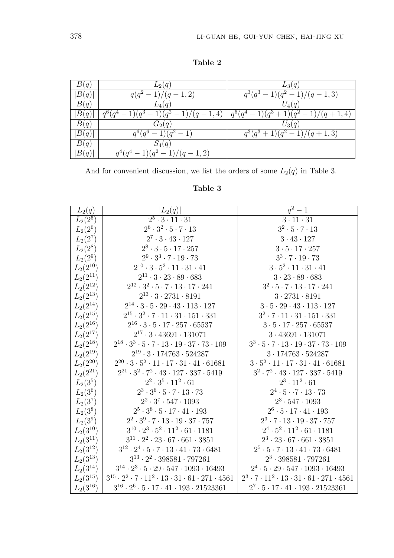**Table 2**

| B(q) | $L_2(q)$                                   | $L_3(q)$                                   |
|------|--------------------------------------------|--------------------------------------------|
| B(q) | $q(q^2-1)/(q-1,2)$                         | $q^3(q^3-1)(q^2-1)/(q-1,3)$                |
| B(q) | $L_4(q)$                                   | $U_4(q)$                                   |
| B(q) | $q^{6}(q^{4}-1)(q^{3}-1)(q^{2}-1)/(q-1,4)$ | $q^{6}(q^{4}-1)(q^{3}+1)(q^{2}-1)/(q+1,4)$ |
| B(q) | $G_2(q)$                                   | $U_3(q)$                                   |
| B(q) | $q^6(q^6-1)(q^2-1)$                        | $q^3(q^3+1)(q^2-1)/(q+1,3)$                |
| B(q) | $S_4(q)$                                   |                                            |
| B(q) | $q^4(q^4-1)(q^2-1)/(q-1,2)$                |                                            |

And for convenient discussion, we list the orders of some  $L_2(q)$  in Table 3.

| Table 3 |
|---------|
|---------|

| $L_2(q)$      | $ L_2(q) $                                                                    | $q^2-1$                                                                  |
|---------------|-------------------------------------------------------------------------------|--------------------------------------------------------------------------|
| $L_2(2^5)$    | $\overline{2^5 \cdot 3 \cdot 11 \cdot 31}$                                    | $3 \cdot 11 \cdot 31$                                                    |
| $L_2(2^6)$    | $2^6\cdot 3^2\cdot 5\cdot 7\cdot 13$                                          | $3^2 \cdot 5 \cdot 7 \cdot 13$                                           |
| $L_2(2^7)$    | $2^7 \cdot 3 \cdot 43 \cdot 127$                                              | $3 \cdot 43 \cdot 127$                                                   |
| $L_2(2^8)$    | $2^8\cdot 3\cdot 5\cdot 17\cdot 257$                                          | $3 \cdot 5 \cdot 17 \cdot 257$                                           |
| $L_2(2^9)$    | $2^9\cdot 3^3\cdot 7\cdot 19\cdot 73$                                         | $3^3 \cdot 7 \cdot 19 \cdot 73$                                          |
| $L_2(2^{10})$ | $2^{10}\cdot3\cdot5^2\cdot11\cdot31\cdot41$                                   | $3 \cdot 5^2 \cdot 11 \cdot 31 \cdot 41$                                 |
| $L_2(2^{11})$ | $2^{11}\cdot 3\cdot 23\cdot 89\cdot 683$                                      | $3\cdot 23\cdot 89\cdot 683$                                             |
| $L_2(2^{12})$ | $2^{12}\cdot 3^2\cdot 5\cdot 7\cdot 13\cdot 17\cdot 241$                      | $3^2 \cdot 5 \cdot 7 \cdot 13 \cdot 17 \cdot 241$                        |
| $L_2(2^{13})$ | $2^{13} \cdot 3 \cdot 2731 \cdot 8191$                                        | $3 \cdot 2731 \cdot 8191$                                                |
| $L_2(2^{14})$ | $2^{14}\cdot 3\cdot 5\cdot 29\cdot 43\cdot 113\cdot 127$                      | $3 \cdot 5 \cdot 29 \cdot 43 \cdot 113 \cdot 127$                        |
| $L_2(2^{15})$ | $2^{15}\cdot 3^2\cdot 7\cdot 11\cdot 31\cdot 151\cdot 331$                    | $3^2 \cdot 7 \cdot 11 \cdot 31 \cdot 151 \cdot 331$                      |
| $L_2(2^{16})$ | $2^{16}\cdot3\cdot5\cdot17\cdot257\cdot65537$                                 | $3 \cdot 5 \cdot 17 \cdot 257 \cdot 65537$                               |
| $L_2(2^{17})$ | $2^{17} \cdot 3 \cdot 43691 \cdot 131071$                                     | 3.43691.131071                                                           |
| $L_2(2^{18})$ | $2^{18}\cdot 3^3\cdot 5\cdot 7\cdot 13\cdot 19\cdot 37\cdot 73\cdot 109$      | $3^3 \cdot 5 \cdot 7 \cdot 13 \cdot 19 \cdot 37 \cdot 73 \cdot 109$      |
| $L_2(2^{19})$ | $2^{19} \cdot 3 \cdot 174763 \cdot 524287$                                    | 3.174763.524287                                                          |
| $L_2(2^{20})$ | $2^{20}\cdot 3\cdot 5^2\cdot 11\cdot 17\cdot 31\cdot 41\cdot 61681$           | $3 \cdot 5^2 \cdot 11 \cdot 17 \cdot 31 \cdot 41 \cdot 61681$            |
| $L_2(2^{21})$ | $2^{21}\cdot 3^2\cdot 7^2\cdot 43\cdot 127\cdot 337\cdot 5419$                | $3^2\cdot 7^2\cdot 43\cdot 127\cdot 337\cdot 5419$                       |
| $L_2(3^5)$    | $2^2 \cdot 3^5 \cdot 11^2 \cdot 61$                                           | $2^3 \cdot 11^2 \cdot 61$                                                |
| $L_2(3^6)$    | $2^3 \cdot 3^6 \cdot 5 \cdot 7 \cdot 13 \cdot 73$                             | $2^4 \cdot 5 \cdot 7 \cdot 13 \cdot 73$                                  |
| $L_2(3^7)$    | $2^2\cdot 3^7\cdot 547\cdot 1093$                                             | $2^3 \cdot 547 \cdot 1093$                                               |
| $L_2(3^8)$    | $2^5 \cdot 3^8 \cdot 5 \cdot 17 \cdot 41 \cdot 193$                           | $2^6\cdot 5\cdot 17\cdot 41\cdot 193$                                    |
| $L_2(3^9)$    | $2^2\cdot 3^9\cdot 7\cdot 13\cdot 19\cdot 37\cdot 757$                        | $2^3 \cdot 7 \cdot 13 \cdot 19 \cdot 37 \cdot 757$                       |
| $L_2(3^{10})$ | $3^{10}\cdot 2^3\cdot 5^2\cdot 11^2\cdot 61\cdot 1181$                        | $2^4 \cdot 5^2 \cdot 11^2 \cdot 61 \cdot 1181$                           |
| $L_2(3^{11})$ | $3^{11} \cdot 2^2 \cdot 23 \cdot 67 \cdot 661 \cdot 3851$                     | $2^3 \cdot 23 \cdot 67 \cdot 661 \cdot 3851$                             |
| $L_2(3^{12})$ | $3^{12}\cdot2^4\cdot5\cdot7\cdot13\cdot41\cdot73\cdot6481$                    | $2^5 \cdot 5 \cdot 7 \cdot 13 \cdot 41 \cdot 73 \cdot 6481$              |
| $L_2(3^{13})$ | $3^{13} \cdot 2^2 \cdot 398581 \cdot 797261$                                  | $2^3 \cdot 398581 \cdot 797261$                                          |
| $L_2(3^{14})$ | $3^{14} \cdot 2^3 \cdot 5 \cdot 29 \cdot 547 \cdot 1093 \cdot 16493$          | $2^4 \cdot 5 \cdot 29 \cdot 547 \cdot 1093 \cdot 16493$                  |
| $L_2(3^{15})$ | $3^{15}\cdot 2^2\cdot 7\cdot 11^2\cdot 13\cdot 31\cdot 61\cdot 271\cdot 4561$ | $2^3 \cdot 7 \cdot 11^2 \cdot 13 \cdot 31 \cdot 61 \cdot 271 \cdot 4561$ |
| $L_2(3^{16})$ | $3^{16}\cdot 2^6\cdot 5\cdot 17\cdot 41\cdot 193\cdot 21523361$               | $2^7 \cdot 5 \cdot 17 \cdot 41 \cdot 193 \cdot 21523361$                 |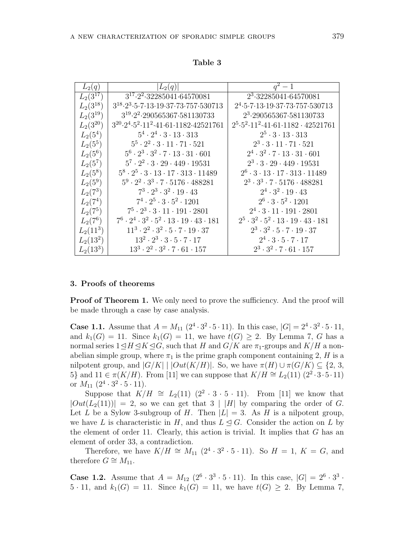| $L_2(q)$      | $ L_2(q) $                                                                                    | $q^2-1$                                                                          |
|---------------|-----------------------------------------------------------------------------------------------|----------------------------------------------------------------------------------|
| $L_2(3^{17})$ | $3^{17} \cdot 2^2 \cdot 32285041 \cdot 64570081$                                              | $2^3 \cdot 32285041 \cdot 64570081$                                              |
| $L_2(3^{18})$ | $3^{18} \cdot 2^3 \cdot 5 \cdot 7 \cdot 13 \cdot 19 \cdot 37 \cdot 73 \cdot 757 \cdot 530713$ | $2^4 \cdot 5 \cdot 7 \cdot 13 \cdot 19 \cdot 37 \cdot 73 \cdot 757 \cdot 530713$ |
| $L_2(3^{19})$ | $3^{19} \cdot 2^2 \cdot 290565367 \cdot 581130733$                                            | 2 <sup>3</sup> .290565367.581130733                                              |
| $L_2(3^{20})$ | $3^{20} \cdot 2^4 \cdot 5^2 \cdot 11^2 \cdot 41 \cdot 61 \cdot 1182 \cdot 42521761$           | $2^5 \cdot 5^2 \cdot 11^2 \cdot 41 \cdot 61 \cdot 1182 \cdot 42521761$           |
| $L_2(5^4)$    | $5^4 \cdot 2^4 \cdot 3 \cdot 13 \cdot 313$                                                    | $2^5 \cdot 3 \cdot 13 \cdot 313$                                                 |
| $L_2(5^5)$    | $5^5 \cdot 2^2 \cdot 3 \cdot 11 \cdot 71 \cdot 521$                                           | $2^3\cdot 3\cdot 11\cdot 71\cdot 521$                                            |
| $L_2(5^6)$    | $5^6 \cdot 2^3 \cdot 3^2 \cdot 7 \cdot 13 \cdot 31 \cdot 601$                                 | $2^4\cdot 3^2\cdot 7\cdot 13\cdot 31\cdot 601$                                   |
| $L_2(5^7)$    | $5^7 \cdot 2^2 \cdot 3 \cdot 29 \cdot 449 \cdot 19531$                                        | $2^3 \cdot 3 \cdot 29 \cdot 449 \cdot 19531$                                     |
| $L_2(5^8)$    | $5^8 \cdot 2^5 \cdot 3 \cdot 13 \cdot 17 \cdot 313 \cdot 11489$                               | $2^6 \cdot 3 \cdot 13 \cdot 17 \cdot 313 \cdot 11489$                            |
| $L_2(5^9)$    | $5^9 \cdot 2^2 \cdot 3^3 \cdot 7 \cdot 5176 \cdot 488281$                                     | $2^3 \cdot 3^3 \cdot 7 \cdot 5176 \cdot 488281$                                  |
| $L_2(7^3)$    | $7^3 \cdot 2^3 \cdot 3^2 \cdot 19 \cdot 43$                                                   | $2^4 \cdot 3^2 \cdot 19 \cdot 43$                                                |
| $L_2(7^4)$    | $7^4 \cdot 2^5 \cdot 3 \cdot 5^2 \cdot 1201$                                                  | $2^6 \cdot 3 \cdot 5^2 \cdot 1201$                                               |
| $L_2(7^5)$    | $7^5\cdot 2^3\cdot 3\cdot 11\cdot 191\cdot 2801$                                              | $2^4 \cdot 3 \cdot 11 \cdot 191 \cdot 2801$                                      |
| $L_2(7^6)$    | $7^6\cdot 2^4\cdot 3^2\cdot 5^2\cdot 13\cdot 19\cdot 43\cdot 181$                             | $2^5 \cdot 3^2 \cdot 5^2 \cdot 13 \cdot 19 \cdot 43 \cdot 181$                   |
| $L_2(11^3)$   | $11^3 \cdot 2^2 \cdot 3^2 \cdot 5 \cdot 7 \cdot 19 \cdot 37$                                  | $2^3 \cdot 3^2 \cdot 5 \cdot 7 \cdot 19 \cdot 37$                                |
| $L_2(13^2)$   | $13^2 \cdot 2^3 \cdot 3 \cdot 5 \cdot 7 \cdot 17$                                             | $2^4 \cdot 3 \cdot 5 \cdot 7 \cdot 17$                                           |
| $L_2(13^3)$   | $13^3 \cdot 2^2 \cdot 3^2 \cdot 7 \cdot 61 \cdot 157$                                         | $2^3 \cdot 3^2 \cdot 7 \cdot 61 \cdot 157$                                       |

#### **Table 3**

## **3. Proofs of theorems**

**Proof of Theorem 1.** We only need to prove the sufficiency. And the proof will be made through a case by case analysis.

**Case 1.1.** Assume that  $A = M_{11} (2^4 \cdot 3^2 \cdot 5 \cdot 11)$ . In this case,  $|G| = 2^4 \cdot 3^2 \cdot 5 \cdot 11$ , and  $k_1(G) = 11$ . Since  $k_1(G) = 11$ , we have  $t(G) \geq 2$ . By Lemma 7, *G* has a normal series  $1 \leq H \leq K \leq G$ , such that *H* and *G/K* are  $\pi_1$ -groups and *K/H* a nonabelian simple group, where  $\pi_1$  is the prime graph component containing 2, *H* is a nilpotent group, and  $|G/K|$  |  $|Out(K/H)|$ . So, we have  $\pi(H) \cup \pi(G/K) \subseteq \{2, 3, \}$ 5*}* and  $11 \in \pi(K/H)$ . From [11] we can suppose that  $K/H \cong L_2(11)(2^2 \cdot 3 \cdot 5 \cdot 11)$ or  $M_{11}$   $(2^4 \cdot 3^2 \cdot 5 \cdot 11)$ .

Suppose that  $K/H \cong L_2(11)$   $(2^2 \cdot 3 \cdot 5 \cdot 11)$ . From [11] we know that  $|Out(L_2(11))| = 2$ , so we can get that  $3 \mid |H|$  by comparing the order of *G*. Let *L* be a Sylow 3-subgroup of *H*. Then  $|L| = 3$ . As *H* is a nilpotent group, we have *L* is characteristic in *H*, and thus  $L \leq G$ . Consider the action on *L* by the element of order 11. Clearly, this action is trivial. It implies that *G* has an element of order 33, a contradiction.

Therefore, we have  $K/H \cong M_{11} (2^4 \cdot 3^2 \cdot 5 \cdot 11)$ . So  $H = 1, K = G$ , and therefore  $G \cong M_{11}$ .

**Case 1.2.** Assume that  $A = M_{12} (2^6 \cdot 3^3 \cdot 5 \cdot 11)$ . In this case,  $|G| = 2^6 \cdot 3^3 \cdot 5 \cdot 11$ 5 · 11, and  $k_1(G) = 11$ . Since  $k_1(G) = 11$ , we have  $t(G) \geq 2$ . By Lemma 7,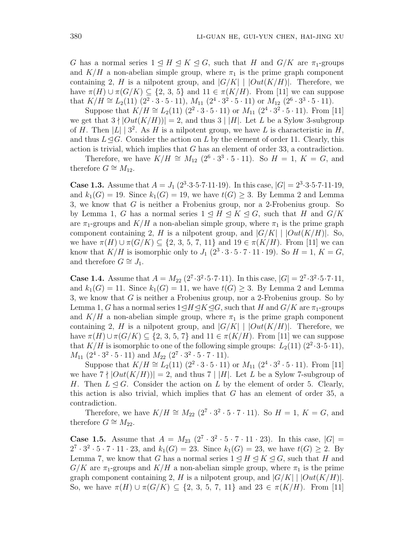*G* has a normal series  $1 \leq H \leq K \leq G$ , such that *H* and  $G/K$  are  $\pi_1$ -groups and  $K/H$  a non-abelian simple group, where  $\pi_1$  is the prime graph component containing 2, *H* is a nilpotent group, and  $|G/K|$  |  $|Out(K/H)|$ . Therefore, we have  $\pi(H) \cup \pi(G/K) \subseteq \{2, 3, 5\}$  and  $11 \in \pi(K/H)$ . From [11] we can suppose that  $K/H \cong L_2(11)$  (2<sup>2</sup> ⋅ 3 ⋅ 5 ⋅ 11),  $M_{11}$  (2<sup>4</sup> ⋅ 3<sup>2</sup> ⋅ 5 ⋅ 11) or  $M_{12}$  (2<sup>6</sup> ⋅ 3<sup>3</sup> ⋅ 5 ⋅ 11).

Suppose that  $K/H \cong L_2(11) (2^2 \cdot 3 \cdot 5 \cdot 11)$  or  $M_{11} (2^4 \cdot 3^2 \cdot 5 \cdot 11)$ . From [11] we get that  $3 \nmid |Out(K/H)| = 2$ , and thus  $3 \nmid |H|$ . Let *L* be a Sylow 3-subgroup of *H*. Then  $|L|$  | 3<sup>2</sup>. As *H* is a nilpotent group, we have *L* is characteristic in *H*, and thus  $L \leq G$ . Consider the action on *L* by the element of order 11. Clearly, this action is trivial, which implies that *G* has an element of order 33, a contradiction.

Therefore, we have  $K/H \cong M_{12}$  ( $2^6 \cdot 3^3 \cdot 5 \cdot 11$ ). So  $H = 1, K = G$ , and therefore  $G \cong M_{12}$ .

**Case 1.3.** Assume that  $A = J_1 (2^3 \cdot 3 \cdot 5 \cdot 7 \cdot 11 \cdot 19)$ . In this case,  $|G| = 2^3 \cdot 3 \cdot 5 \cdot 7 \cdot 11 \cdot 19$ , and  $k_1(G) = 19$ . Since  $k_1(G) = 19$ , we have  $t(G) \geq 3$ . By Lemma 2 and Lemma 3, we know that *G* is neither a Frobenius group, nor a 2-Frobenius group. So by Lemma 1, *G* has a normal series  $1 \leq H \leq K \leq G$ , such that *H* and  $G/K$ are  $\pi_1$ -groups and  $K/H$  a non-abelian simple group, where  $\pi_1$  is the prime graph component containing 2, *H* is a nilpotent group, and  $|G/K|$  |  $|Out(K/H)|$ . So, we have  $\pi(H)$  *∪*  $\pi(G/K)$  ⊂ {2, 3, 5, 7, 11} and 19 ∈  $\pi(K/H)$ . From [11] we can know that  $K/H$  is isomorphic only to  $J_1$   $(2^3 \cdot 3 \cdot 5 \cdot 7 \cdot 11 \cdot 19)$ . So  $H = 1, K = G$ , and therefore  $G \cong J_1$ .

**Case 1.4.** Assume that  $A = M_{22} (2^7 \cdot 3^2 \cdot 5 \cdot 7 \cdot 11)$ . In this case,  $|G| = 2^7 \cdot 3^2 \cdot 5 \cdot 7 \cdot 11$ , and  $k_1(G) = 11$ . Since  $k_1(G) = 11$ , we have  $t(G) \geq 3$ . By Lemma 2 and Lemma 3, we know that *G* is neither a Frobenius group, nor a 2-Frobenius group. So by Lemma 1, *G* has a normal series  $1 \leq H \leq K \leq G$ , such that *H* and  $G/K$  are  $\pi_1$ -groups and  $K/H$  a non-abelian simple group, where  $\pi_1$  is the prime graph component containing 2, *H* is a nilpotent group, and  $|G/K|$  |  $|Out(K/H)|$ . Therefore, we have  $\pi(H) \cup \pi(G/K) \subseteq \{2, 3, 5, 7\}$  and  $11 \in \pi(K/H)$ . From [11] we can suppose that  $K/H$  is isomorphic to one of the following simple groups:  $L_2(11)(2^2 \cdot 3 \cdot 5 \cdot 11)$ ,  $M_{11}$   $(2^4 \cdot 3^2 \cdot 5 \cdot 11)$  and  $M_{22}$   $(2^7 \cdot 3^2 \cdot 5 \cdot 7 \cdot 11)$ .

Suppose that  $K/H \cong L_2(11)$   $(2^2 \cdot 3 \cdot 5 \cdot 11)$  or  $M_{11}$   $(2^4 \cdot 3^2 \cdot 5 \cdot 11)$ . From [11] we have  $7 \nmid |Out(K/H)| = 2$ , and thus  $7 |H|$ . Let *L* be a Sylow 7-subgroup of *H*. Then  $L \leq G$ . Consider the action on *L* by the element of order 5. Clearly, this action is also trivial, which implies that *G* has an element of order 35, a contradiction.

Therefore, we have  $K/H \cong M_{22} (2^7 \cdot 3^2 \cdot 5 \cdot 7 \cdot 11)$ . So  $H = 1, K = G$ , and therefore  $G \cong M_{22}$ .

**Case 1.5.** Assume that  $A = M_{23} (2^7 \cdot 3^2 \cdot 5 \cdot 7 \cdot 11 \cdot 23)$ . In this case,  $|G|$  =  $2^7 \cdot 3^2 \cdot 5 \cdot 7 \cdot 11 \cdot 23$ , and  $k_1(G) = 23$ . Since  $k_1(G) = 23$ , we have  $t(G) \geq 2$ . By Lemma 7, we know that *G* has a normal series  $1 \leq H \leq K \leq G$ , such that *H* and  $G/K$  are  $\pi_1$ -groups and  $K/H$  a non-abelian simple group, where  $\pi_1$  is the prime graph component containing 2, *H* is a nilpotent group, and  $|G/K|$  |  $|Out(K/H)|$ . So, we have  $\pi(H)$  *∪*  $\pi(G/K)$  ⊆ {2, 3, 5, 7, 11} and 23 ∈  $\pi(K/H)$ . From [11]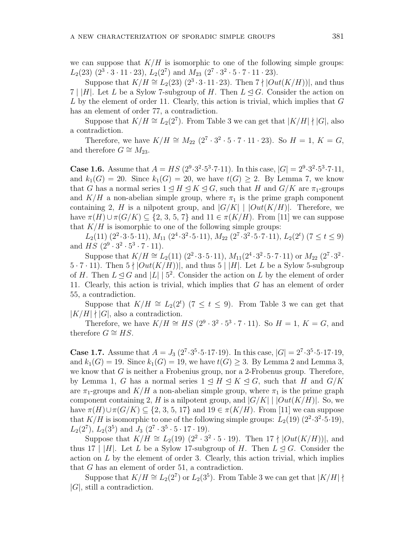we can suppose that  $K/H$  is isomorphic to one of the following simple groups:  $L_2(23)$   $(2^3 \cdot 3 \cdot 11 \cdot 23)$ ,  $L_2(2^7)$  and  $M_{23}$   $(2^7 \cdot 3^2 \cdot 5 \cdot 7 \cdot 11 \cdot 23)$ .

Suppose that  $K/H \cong L_2(23)$   $(2^3 \cdot 3 \cdot 11 \cdot 23)$ . Then  $7 \nmid |Out(K/H)|$ , and thus 7 | |*H*|. Let *L* be a Sylow 7-subgroup of *H*. Then  $L \leq G$ . Consider the action on *L* by the element of order 11. Clearly, this action is trivial, which implies that *G* has an element of order 77, a contradiction.

Suppose that  $K/H \cong L_2(2^7)$ . From Table 3 we can get that  $|K/H| \nmid |G|$ , also a contradiction.

Therefore, we have  $K/H \cong M_{22} (2^7 \cdot 3^2 \cdot 5 \cdot 7 \cdot 11 \cdot 23)$ . So  $H = 1, K = G$ , and therefore  $G \cong M_{23}$ .

**Case 1.6.** Assume that  $A = HS(2^9 \cdot 3^2 \cdot 5^3 \cdot 7 \cdot 11)$ . In this case,  $|G| = 2^9 \cdot 3^2 \cdot 5^3 \cdot 7 \cdot 11$ , and  $k_1(G) = 20$ . Since  $k_1(G) = 20$ , we have  $t(G) \geq 2$ . By Lemma 7, we know that *G* has a normal series  $1 \leq H \leq K \leq G$ , such that *H* and  $G/K$  are  $\pi_1$ -groups and  $K/H$  a non-abelian simple group, where  $\pi_1$  is the prime graph component containing 2, *H* is a nilpotent group, and  $|G/K|$  |  $|Out(K/H)|$ . Therefore, we have  $\pi(H) \cup \pi(G/K) \subseteq \{2, 3, 5, 7\}$  and  $11 \in \pi(K/H)$ . From [11] we can suppose that  $K/H$  is isomorphic to one of the following simple groups:

 $L_2(11)$   $(2^2 \cdot 3 \cdot 5 \cdot 11)$ ,  $M_{11}$   $(2^4 \cdot 3^2 \cdot 5 \cdot 11)$ ,  $M_{22}$   $(2^7 \cdot 3^2 \cdot 5 \cdot 7 \cdot 11)$ ,  $L_2(2^t)$   $(7 \le t \le 9)$ and  $HS (2^9 \cdot 3^2 \cdot 5^3 \cdot 7 \cdot 11).$ 

Suppose that  $K/H \cong L_2(11)$   $(2^2 \cdot 3 \cdot 5 \cdot 11)$ ,  $M_{11}(2^4 \cdot 3^2 \cdot 5 \cdot 7 \cdot 11)$  or  $M_{22}(2^7 \cdot 3^2 \cdot 7 \cdot 11)$  $5 \cdot 7 \cdot 11$ ). Then  $5 \nmid |Out(K/H)|$ , and thus  $5 \nmid |H|$ . Let *L* be a Sylow 5-subgroup of *H*. Then  $L \leq G$  and  $|L| \mid 5^2$ . Consider the action on *L* by the element of order 11. Clearly, this action is trivial, which implies that *G* has an element of order 55, a contradiction.

Suppose that  $K/H \cong L_2(2^t)$  (7  $\leq t \leq 9$ ). From Table 3 we can get that  $|K/H|$   $\nmid$   $|G|$ , also a contradiction.

Therefore, we have  $K/H \cong HS(2^9 \cdot 3^2 \cdot 5^3 \cdot 7 \cdot 11)$ . So  $H = 1, K = G$ , and therefore  $G \cong HS$ .

**Case 1.7.** Assume that  $A = J_3$  ( $2^7 \cdot 3^5 \cdot 5 \cdot 17 \cdot 19$ ). In this case,  $|G| = 2^7 \cdot 3^5 \cdot 5 \cdot 17 \cdot 19$ , and  $k_1(G) = 19$ . Since  $k_1(G) = 19$ , we have  $t(G) \geq 3$ . By Lemma 2 and Lemma 3, we know that *G* is neither a Frobenius group, nor a 2-Frobenus group. Therefore, by Lemma 1, *G* has a normal series  $1 \leq H \leq K \leq G$ , such that *H* and  $G/K$ are  $\pi_1$ -groups and  $K/H$  a non-abelian simple group, where  $\pi_1$  is the prime graph component containing 2, *H* is a nilpotent group, and  $|G/K|$  |  $|Out(K/H)|$ . So, we have  $\pi(H) \cup \pi(G/K) \subseteq \{2, 3, 5, 17\}$  and  $19 \in \pi(K/H)$ . From [11] we can suppose that  $K/H$  is isomorphic to one of the following simple groups:  $L_2(19)$   $(2^2 \cdot 3^2 \cdot 5 \cdot 19)$ ,  $L_2(2^7)$ ,  $L_2(3^5)$  and  $J_3(2^7 \cdot 3^5 \cdot 5 \cdot 17 \cdot 19)$ .

Suppose that  $K/H \cong L_2(19)$   $(2^2 \cdot 3^2 \cdot 5 \cdot 19)$ . Then  $17 \nmid |Out(K/H)|$ , and thus 17 *| |H|*. Let *L* be a Sylow 17-subgroup of *H*. Then  $L \leq G$ . Consider the action on *L* by the element of order 3. Clearly, this action trivial, which implies that *G* has an element of order 51, a contradiction.

Suppose that  $K/H \cong L_2(2^7)$  or  $L_2(3^5)$ . From Table 3 we can get that  $|K/H|$ *|G|*, still a contradiction.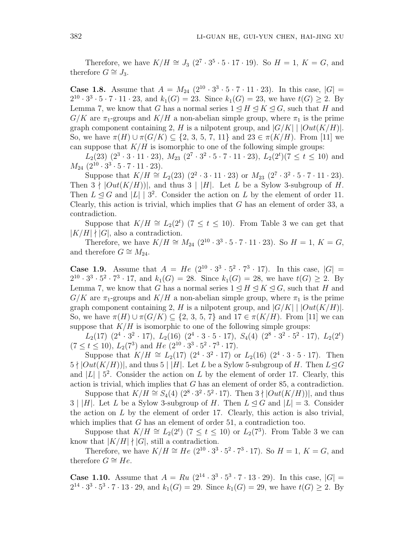Therefore, we have  $K/H \cong J_3$  ( $2^7 \cdot 3^5 \cdot 5 \cdot 17 \cdot 19$ ). So  $H = 1, K = G$ , and therefore  $G \cong J_3$ .

**Case 1.8.** Assume that  $A = M_{24} (2^{10} \cdot 3^3 \cdot 5 \cdot 7 \cdot 11 \cdot 23)$ . In this case,  $|G|$  =  $2^{10} \cdot 3^3 \cdot 5 \cdot 7 \cdot 11 \cdot 23$ , and  $k_1(G) = 23$ . Since  $k_1(G) = 23$ , we have  $t(G) \geq 2$ . By Lemma 7, we know that *G* has a normal series  $1 \leq H \leq K \leq G$ , such that *H* and  $G/K$  are  $\pi_1$ -groups and  $K/H$  a non-abelian simple group, where  $\pi_1$  is the prime graph component containing 2, *H* is a nilpotent group, and  $|G/K|$  |  $|Out(K/H)|$ . So, we have  $\pi(H)$  *∪*  $\pi(G/K)$  ⊆ {2, 3, 5, 7, 11} and 23 ∈  $\pi(K/H)$ . From [11] we can suppose that  $K/H$  is isomorphic to one of the following simple groups:

 $L_2(23)$   $(2^3 \cdot 3 \cdot 11 \cdot 23)$ ,  $M_{23}$   $(2^7 \cdot 3^2 \cdot 5 \cdot 7 \cdot 11 \cdot 23)$ ,  $L_2(2^t)(7 \le t \le 10)$  and  $M_{24}$   $(2^{10} \cdot 3^3 \cdot 5 \cdot 7 \cdot 11 \cdot 23).$ 

Suppose that  $K/H \cong L_2(23)$   $(2^2 \cdot 3 \cdot 11 \cdot 23)$  or  $M_{23}$   $(2^7 \cdot 3^2 \cdot 5 \cdot 7 \cdot 11 \cdot 23)$ . Then  $3 \nmid |Out(K/H)|$ , and thus  $3 \nmid |H|$ . Let *L* be a Sylow 3-subgroup of *H*. Then  $L \leq G$  and  $|L| \geq 3^2$ . Consider the action on *L* by the element of order 11. Clearly, this action is trivial, which implies that *G* has an element of order 33, a contradiction.

Suppose that  $K/H \cong L_2(2^t)$  (7  $\leq t \leq 10$ ). From Table 3 we can get that  $|K/H|$   $\nmid$   $|G|$ , also a contradiction.

Therefore, we have  $K/H \cong M_{24} (2^{10} \cdot 3^3 \cdot 5 \cdot 7 \cdot 11 \cdot 23)$ . So  $H = 1, K = G$ , and therefore  $G \cong M_{24}$ .

**Case 1.9.** Assume that  $A = He(2^{10} \cdot 3^3 \cdot 5^2 \cdot 7^3 \cdot 17)$ . In this case,  $|G|$  =  $2^{10} \cdot 3^3 \cdot 5^2 \cdot 7^3 \cdot 17$ , and  $k_1(G) = 28$ . Since  $k_1(G) = 28$ , we have  $t(G) \geq 2$ . By Lemma 7, we know that *G* has a normal series  $1 \leq H \leq K \leq G$ , such that *H* and  $G/K$  are  $\pi_1$ -groups and  $K/H$  a non-abelian simple group, where  $\pi_1$  is the prime graph component containing 2, *H* is a nilpotent group, and  $|G/K|$   $|Out(K/H)|$ . So, we have  $\pi(H)$  *∪*  $\pi(G/K)$  ⊆ {2, 3, 5, 7} and 17 ∈  $\pi(K/H)$ . From [11] we can suppose that  $K/H$  is isomorphic to one of the following simple groups:

 $L_2(17)$   $(2^4 \cdot 3^2 \cdot 17)$ ,  $L_2(16)$   $(2^4 \cdot 3 \cdot 5 \cdot 17)$ ,  $S_4(4)$   $(2^8 \cdot 3^2 \cdot 5^2 \cdot 17)$ ,  $L_2(2^t)$  $(7 \le t \le 10)$ ,  $L_2(7^3)$  and  $He (2^{10} \cdot 3^3 \cdot 5^2 \cdot 7^3 \cdot 17)$ .

Suppose that  $K/H \cong L_2(17)$   $(2^4 \cdot 3^2 \cdot 17)$  or  $L_2(16)$   $(2^4 \cdot 3 \cdot 5 \cdot 17)$ . Then  $5 \nmid |Out(K/H)|$ , and thus  $5 \nmid |H|$ . Let *L* be a Sylow 5-subgroup of *H*. Then  $L \trianglelefteq G$ and  $|L|$  |  $5^2$ . Consider the action on *L* by the element of order 17. Clearly, this action is trivial, which implies that *G* has an element of order 85, a contradiction.

Suppose that  $K/H \cong S_4(4)$  ( $2^8 \cdot 3^2 \cdot 5^2 \cdot 17$ ). Then  $3 \nmid |Out(K/H)|$ , and thus  $3 \mid |H|$ . Let *L* be a Sylow 3-subgroup of *H*. Then  $L \triangleleft G$  and  $|L| = 3$ . Consider the action on *L* by the element of order 17. Clearly, this action is also trivial, which implies that *G* has an element of order 51, a contradiction too.

Suppose that  $K/H \cong L_2(2^t)$  (7 ≤ *t* ≤ 10) or  $L_2(7^3)$ . From Table 3 we can know that  $|K/H|$   $\nmid |G|$ , still a contradiction.

Therefore, we have  $K/H \cong He(2^{10} \cdot 3^3 \cdot 5^2 \cdot 7^3 \cdot 17)$ . So  $H = 1, K = G$ , and therefore  $G \cong He$ .

**Case 1.10.** Assume that  $A = Ru (2^{14} \cdot 3^3 \cdot 5^3 \cdot 7 \cdot 13 \cdot 29)$ . In this case,  $|G| =$  $2^{14} \cdot 3^3 \cdot 5^3 \cdot 7 \cdot 13 \cdot 29$ , and  $k_1(G) = 29$ . Since  $k_1(G) = 29$ , we have  $t(G) \geq 2$ . By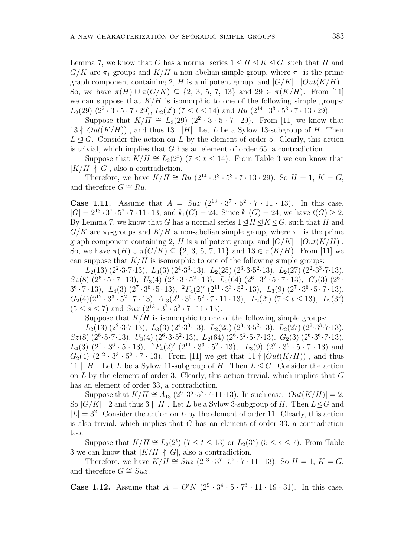Lemma 7, we know that *G* has a normal series  $1 \leq H \leq K \leq G$ , such that *H* and  $G/K$  are  $\pi_1$ -groups and  $K/H$  a non-abelian simple group, where  $\pi_1$  is the prime graph component containing 2, *H* is a nilpotent group, and  $|G/K|$   $|Out(K/H)|$ . So, we have  $\pi(H)$  *∪*  $\pi(G/K)$  ⊆ {2, 3, 5, 7, 13} and 29 ∈  $\pi(K/H)$ . From [11] we can suppose that  $K/H$  is isomorphic to one of the following simple groups:  $L_2(29)$   $(2^2 \cdot 3 \cdot 5 \cdot 7 \cdot 29)$ ,  $L_2(2^t)$   $(7 \le t \le 14)$  and  $Ru$   $(2^{14} \cdot 3^3 \cdot 5^3 \cdot 7 \cdot 13 \cdot 29)$ .

Suppose that  $K/H \cong L_2(29)$   $(2^2 \cdot 3 \cdot 5 \cdot 7 \cdot 29)$ . From [11] we know that  $13 \nmid |Out(K/H)|$ , and thus  $13 \nmid |H|$ . Let *L* be a Sylow 13-subgroup of *H*. Then  $L \leq G$ . Consider the action on *L* by the element of order 5. Clearly, this action is trivial, which implies that *G* has an element of order 65, a contradiction.

Suppose that  $K/H \cong L_2(2^t)$  (7 ≤ *t* ≤ 14). From Table 3 we can know that  $|K/H|$   $\nmid$   $|G|$ , also a contradiction.

Therefore, we have  $K/H \cong Ru\ (2^{14} \cdot 3^3 \cdot 5^3 \cdot 7 \cdot 13 \cdot 29)$ . So  $H = 1, K = G$ , and therefore  $G \cong Ru$ .

**Case 1.11.** Assume that  $A = Suz(2^{13} \cdot 3^7 \cdot 5^2 \cdot 7 \cdot 11 \cdot 13)$ . In this case,  $|G| = 2^{13} \cdot 3^7 \cdot 5^2 \cdot 7 \cdot 11 \cdot 13$ , and  $k_1(G) = 24$ . Since  $k_1(G) = 24$ , we have  $t(G) \geq 2$ . By Lemma 7, we know that *G* has a normal series  $1 \leq H \leq K \leq G$ , such that *H* and  $G/K$  are  $\pi_1$ -groups and  $K/H$  a non-abelian simple group, where  $\pi_1$  is the prime graph component containing 2, *H* is a nilpotent group, and  $|G/K|$   $|Out(K/H)|$ . So, we have  $\pi(H)$  *∪*  $\pi(G/K)$  ⊂ {2, 3, 5, 7, 11} and 13 ∈  $\pi(K/H)$ . From [11] we can suppose that  $K/H$  is isomorphic to one of the following simple groups:

 $L_2(13)(2^2 \cdot 3 \cdot 7 \cdot 13), L_3(3)(2^4 \cdot 3^3 \cdot 13), L_2(25)(2^3 \cdot 3 \cdot 5^2 \cdot 13), L_2(27)(2^2 \cdot 3^3 \cdot 7 \cdot 13),$  $Sz(8)$   $(2^6 \cdot 5 \cdot 7 \cdot 13)$ ,  $U_3(4)$   $(2^6 \cdot 3 \cdot 5^2 \cdot 13)$ ,  $L_2(64)$   $(2^6 \cdot 3^2 \cdot 5 \cdot 7 \cdot 13)$ ,  $G_2(3)$   $(2^6 \cdot 3^2 \cdot 5 \cdot 7 \cdot 13)$  $^{36} \cdot 7 \cdot 13$ ,  $L_4(3)$   $(2^7 \cdot 3^6 \cdot 5 \cdot 13)$ ,  $^{2}F_4(2)'$   $(2^{11} \cdot 3^3 \cdot 5^2 \cdot 13)$ ,  $L_3(9)$   $(2^7 \cdot 3^6 \cdot 5 \cdot 7 \cdot 13)$ ,  $G_2(4)(2^{12} \cdot 3^3 \cdot 5^2 \cdot 7 \cdot 13), A_{13}(2^9 \cdot 3^5 \cdot 5^2 \cdot 7 \cdot 11 \cdot 13), L_2(2^t) (7 \le t \le 13), L_2(3^s)$  $(5 \leq s \leq 7)$  and  $Suz$   $(2^{13} \cdot 3^7 \cdot 5^2 \cdot 7 \cdot 11 \cdot 13)$ .

Suppose that  $K/H$  is isomorphic to one of the following simple groups:

 $L_2(13)(2^2 \cdot 3 \cdot 7 \cdot 13), L_3(3)(2^4 \cdot 3^3 \cdot 13), L_2(25)(2^3 \cdot 3 \cdot 5^2 \cdot 13), L_2(27)(2^2 \cdot 3^3 \cdot 7 \cdot 13),$  $Sz(8)$   $(2^6 \cdot 5 \cdot 7 \cdot 13)$ ,  $U_3(4)$   $(2^6 \cdot 3 \cdot 5^2 \cdot 13)$ ,  $L_2(64)$   $(2^6 \cdot 3^2 \cdot 5 \cdot 7 \cdot 13)$ ,  $G_2(3)$   $(2^6 \cdot 3^6 \cdot 7 \cdot 13)$ ,  $L_4(3)$   $(2^7 \cdot 3^6 \cdot 5 \cdot 13), \quad {}^2F_4(2)'$   $(2^{11} \cdot 3^3 \cdot 5^2 \cdot 13), \quad L_3(9)$   $(2^7 \cdot 3^6 \cdot 5 \cdot 7 \cdot 13)$  and  $G_2(4)$   $(2^{12} \cdot 3^3 \cdot 5^2 \cdot 7 \cdot 13)$ . From [11] we get that 11 *†*  $|Out(K/H)|$ , and thus 11 |  $|H|$ . Let *L* be a Sylow 11-subgroup of *H*. Then  $L \triangleleft G$ . Consider the action on *L* by the element of order 3. Clearly, this action trivial, which implies that *G* has an element of order 33, a contradiction.

Suppose that  $K/H \cong A_{13} (2^9 \cdot 3^5 \cdot 5^2 \cdot 7 \cdot 11 \cdot 13)$ . In such case,  $|Out(K/H)| = 2$ . So  $|G/K|$  | 2 and thus 3 | |*H*|. Let *L* be a Sylow 3-subgroup of *H*. Then  $L \leq G$  and  $|L| = 3<sup>2</sup>$ . Consider the action on *L* by the element of order 11. Clearly, this action is also trivial, which implies that *G* has an element of order 33, a contradiction too.

Suppose that  $K/H \cong L_2(2^t)$  (7  $\leq t \leq 13$ ) or  $L_2(3^s)$  (5  $\leq s \leq 7$ ). From Table 3 we can know that  $|K/H| \nmid |G|$ , also a contradiction.

Therefore, we have  $K/H \cong Suz \ (2^{13} \cdot 3^7 \cdot 5^2 \cdot 7 \cdot 11 \cdot 13)$ . So  $H = 1, K = G$ , and therefore  $G \cong Suz$ .

**Case 1.12.** Assume that  $A = O'N$   $(2^9 \cdot 3^4 \cdot 5 \cdot 7^3 \cdot 11 \cdot 19 \cdot 31)$ . In this case,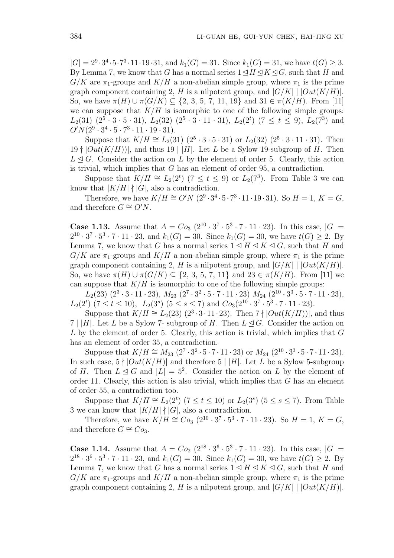$|G| = 2^9 \cdot 3^4 \cdot 5 \cdot 7^3 \cdot 11 \cdot 19 \cdot 31$ , and  $k_1(G) = 31$ . Since  $k_1(G) = 31$ , we have  $t(G) \geq 3$ . By Lemma 7, we know that *G* has a normal series  $1 \leq H \leq K \leq G$ , such that *H* and  $G/K$  are  $\pi_1$ -groups and  $K/H$  a non-abelian simple group, where  $\pi_1$  is the prime graph component containing 2, *H* is a nilpotent group, and  $|G/K|$  |  $|Out(K/H)|$ . So, we have  $\pi(H)$  *∪*  $\pi(G/K)$  ⊂ {2, 3, 5, 7, 11, 19} and 31 ∈  $\pi(K/H)$ . From [11] we can suppose that  $K/H$  is isomorphic to one of the following simple groups:  $L_2(31)$   $(2^5 \cdot 3 \cdot 5 \cdot 31)$ ,  $L_2(32)$   $(2^5 \cdot 3 \cdot 11 \cdot 31)$ ,  $L_2(2^t)$   $(7 \le t \le 9)$ ,  $L_2(7^3)$  and  $O'N(2^9 \cdot 3^4 \cdot 5 \cdot 7^3 \cdot 11 \cdot 19 \cdot 31).$ 

Suppose that  $K/H \cong L_2(31)$   $(2^5 \cdot 3 \cdot 5 \cdot 31)$  or  $L_2(32)$   $(2^5 \cdot 3 \cdot 11 \cdot 31)$ . Then 19  $\dagger$   $|Out(K/H)|$ , and thus 19 | |*H*|. Let *L* be a Sylow 19-subgroup of *H*. Then  $L \triangleleft G$ . Consider the action on *L* by the element of order 5. Clearly, this action is trivial, which implies that *G* has an element of order 95, a contradiction.

Suppose that  $K/H \cong L_2(2^t)$  (7 ≤ *t* ≤ 9) or  $L_2(7^3)$ . From Table 3 we can know that  $|K/H|$   $\nmid |G|$ , also a contradiction.

Therefore, we have  $K/H \cong O'N (2^9 \cdot 3^4 \cdot 5 \cdot 7^3 \cdot 11 \cdot 19 \cdot 31)$ . So  $H = 1, K = G$ , and therefore  $G \cong O'N$ .

**Case 1.13.** Assume that  $A = Co_3 (2^{10} \cdot 3^7 \cdot 5^3 \cdot 7 \cdot 11 \cdot 23)$ . In this case,  $|G| =$  $2^{10} \cdot 3^7 \cdot 5^3 \cdot 7 \cdot 11 \cdot 23$ , and  $k_1(G) = 30$ . Since  $k_1(G) = 30$ , we have  $t(G) \geq 2$ . By Lemma 7, we know that *G* has a normal series  $1 \leq H \leq K \leq G$ , such that *H* and  $G/K$  are  $\pi_1$ -groups and  $K/H$  a non-abelian simple group, where  $\pi_1$  is the prime graph component containing 2, *H* is a nilpotent group, and  $|G/K|$   $|Out(K/H)|$ . So, we have  $\pi(H)$  *∪*  $\pi(G/K)$  ⊆ {2, 3, 5, 7, 11} and 23 ∈  $\pi(K/H)$ . From [11] we can suppose that  $K/H$  is isomorphic to one of the following simple groups:

 $L_2(23)(2^3 \cdot 3 \cdot 11 \cdot 23), M_{23}(2^7 \cdot 3^2 \cdot 5 \cdot 7 \cdot 11 \cdot 23) M_{24}(2^{10} \cdot 3^3 \cdot 5 \cdot 7 \cdot 11 \cdot 23),$  $L_2(2^t)$  ( $7 \le t \le 10$ ),  $L_2(3^s)$  ( $5 \le s \le 7$ ) and  $C_{O_3}(2^{10} \cdot 3^7 \cdot 5^3 \cdot 7 \cdot 11 \cdot 23)$ .

Suppose that  $K/H \cong L_2(23)$   $(2^3 \cdot 3 \cdot 11 \cdot 23)$ . Then  $7 \nmid |Out(K/H)|$ , and thus 7 | |*H*|. Let *L* be a Sylow 7- subgroup of *H*. Then  $L \leq G$ . Consider the action on *L* by the element of order 5. Clearly, this action is trivial, which implies that *G* has an element of order 35, a contradiction.

Suppose that  $K/H \cong M_{23}$   $(2^7 \cdot 3^2 \cdot 5 \cdot 7 \cdot 11 \cdot 23)$  or  $M_{24}$   $(2^{10} \cdot 3^3 \cdot 5 \cdot 7 \cdot 11 \cdot 23)$ . In such case,  $5 \nmid |Out(K/H)|$  and therefore  $5 \nmid |H|$ . Let *L* be a Sylow 5-subgroup of *H*. Then  $L \leq G$  and  $|L| = 5^2$ . Consider the action on *L* by the element of order 11. Clearly, this action is also trivial, which implies that *G* has an element of order 55, a contradiction too.

Suppose that  $K/H \cong L_2(2^t)$  (7  $\leq t \leq 10$ ) or  $L_2(3^s)$  (5  $\leq s \leq 7$ ). From Table 3 we can know that  $|K/H| \nmid |G|$ , also a contradiction.

Therefore, we have  $K/H \cong Co_3 (2^{10} \cdot 3^7 \cdot 5^3 \cdot 7 \cdot 11 \cdot 23)$ . So  $H = 1, K = G$ , and therefore  $G \cong Co_3$ .

**Case 1.14.** Assume that  $A = Co_2 (2^{18} \cdot 3^6 \cdot 5^3 \cdot 7 \cdot 11 \cdot 23)$ . In this case,  $|G|$  =  $2^{18} \cdot 3^6 \cdot 5^3 \cdot 7 \cdot 11 \cdot 23$ , and  $k_1(G) = 30$ . Since  $k_1(G) = 30$ , we have  $t(G) \geq 2$ . By Lemma 7, we know that *G* has a normal series  $1 \leq H \leq K \leq G$ , such that *H* and  $G/K$  are  $\pi_1$ -groups and  $K/H$  a non-abelian simple group, where  $\pi_1$  is the prime graph component containing 2, *H* is a nilpotent group, and  $|G/K|$   $|Out(K/H)|$ .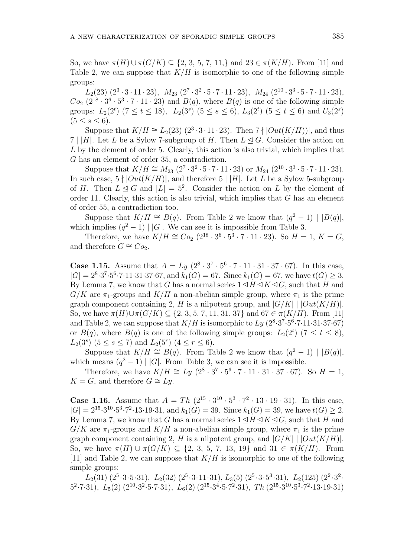So, we have  $\pi(H) \cup \pi(G/K)$  ⊆ {2, 3, 5, 7, 11,*}* and 23 ∈  $\pi(K/H)$ . From [11] and Table 2, we can suppose that  $K/H$  is isomorphic to one of the following simple groups:

 $L_2(23)(2^3 \cdot 3 \cdot 11 \cdot 23), M_{23}(2^7 \cdot 3^2 \cdot 5 \cdot 7 \cdot 11 \cdot 23), M_{24}(2^{10} \cdot 3^3 \cdot 5 \cdot 7 \cdot 11 \cdot 23),$  $Co_2$   $(2^{18} \cdot 3^6 \cdot 5^3 \cdot 7 \cdot 11 \cdot 23)$  and  $B(q)$ , where  $B(q)$  is one of the following simple groups:  $L_2(2^t)$  (7  $\le t \le 18$ ),  $L_2(3^s)$  (5  $\le s \le 6$ ),  $L_3(2^t)$  (5  $\le t \le 6$ ) and  $U_3(2^s)$  $(5 < s < 6)$ .

Suppose that  $K/H \cong L_2(23)$   $(2^3 \cdot 3 \cdot 11 \cdot 23)$ . Then  $7 \nmid |Out(K/H)|$ , and thus 7 | |*H*|. Let *L* be a Sylow 7-subgroup of *H*. Then  $L \leq G$ . Consider the action on *L* by the element of order 5. Clearly, this action is also trivial, which implies that *G* has an element of order 35, a contradiction.

Suppose that  $K/H \cong M_{23}$   $(2^7 \cdot 3^2 \cdot 5 \cdot 7 \cdot 11 \cdot 23)$  or  $M_{24}$   $(2^{10} \cdot 3^3 \cdot 5 \cdot 7 \cdot 11 \cdot 23)$ . In such case,  $5 \nmid |Out(K/H)|$ , and therefore  $5 \nmid |H|$ . Let *L* be a Sylow 5-subgroup of *H*. Then  $L \leq G$  and  $|L| = 5^2$ . Consider the action on *L* by the element of order 11. Clearly, this action is also trivial, which implies that *G* has an element of order 55, a contradiction too.

Suppose that  $K/H \cong B(q)$ . From Table 2 we know that  $(q^2 - 1) | B(q)|$ , which implies  $(q^2 - 1)$  | |*G*|. We can see it is impossible from Table 3.

Therefore, we have  $K/H \cong Co_2(2^{18} \cdot 3^6 \cdot 5^3 \cdot 7 \cdot 11 \cdot 23)$ . So  $H = 1, K = G$ , and therefore  $G \cong Co_2$ .

**Case 1.15.** Assume that  $A = Ly (2^8 \cdot 3^7 \cdot 5^6 \cdot 7 \cdot 11 \cdot 31 \cdot 37 \cdot 67)$ . In this case,  $|G| = 2^8 \cdot 3^7 \cdot 5^6 \cdot 7 \cdot 11 \cdot 31 \cdot 37 \cdot 67$ , and  $k_1(G) = 67$ . Since  $k_1(G) = 67$ , we have  $t(G) \geq 3$ . By Lemma 7, we know that *G* has a normal series  $1 \leq H \leq K \leq G$ , such that *H* and  $G/K$  are  $\pi_1$ -groups and  $K/H$  a non-abelian simple group, where  $\pi_1$  is the prime graph component containing 2, *H* is a nilpotent group, and  $|G/K|$  |  $|Out(K/H)|$ . So, we have  $\pi(H) \cup \pi(G/K)$  ⊆ {2, 3, 5, 7, 11, 31, 37} and 67 ∈  $\pi(K/H)$ . From [11] and Table 2, we can suppose that  $K/H$  is isomorphic to  $Ly (2^8 \cdot 3^7 \cdot 5^6 \cdot 7 \cdot 11 \cdot 31 \cdot 37 \cdot 67)$ or  $B(q)$ , where  $B(q)$  is one of the following simple groups:  $L_2(2^t)$  ( $7 \le t \le 8$ ),  $L_2(3^s)$  (5  $\leq$  *s*  $\leq$  7) and  $L_2(5^r)$  (4  $\leq$  *r*  $\leq$  6).

Suppose that  $K/H \cong B(q)$ . From Table 2 we know that  $(q^2 - 1) | B(q)|$ , which means  $(q^2 - 1) | |G|$ . From Table 3, we can see it is impossible.

Therefore, we have  $K/H \cong Ly (2^8 \cdot 3^7 \cdot 5^6 \cdot 7 \cdot 11 \cdot 31 \cdot 37 \cdot 67)$ . So  $H = 1$ , *K* = *G*, and therefore *G*  $\cong$  *Ly*.

**Case 1.16.** Assume that  $A = Th (2^{15} \cdot 3^{10} \cdot 5^3 \cdot 7^2 \cdot 13 \cdot 19 \cdot 31)$ . In this case,  $|G| = 2^{15} \cdot 3^{10} \cdot 5^3 \cdot 7^2 \cdot 13 \cdot 19 \cdot 31$ , and  $k_1(G) = 39$ . Since  $k_1(G) = 39$ , we have  $t(G) \geq 2$ . By Lemma 7, we know that *G* has a normal series  $1 \leq H \leq K \leq G$ , such that *H* and  $G/K$  are  $\pi_1$ -groups and  $K/H$  a non-abelian simple group, where  $\pi_1$  is the prime graph component containing 2, *H* is a nilpotent group, and  $|G/K|$  |  $|Out(K/H)|$ . So, we have  $\pi(H)$  *∪*  $\pi(G/K)$  ⊆ {2, 3, 5, 7, 13, 19} and 31 ∈  $\pi(K/H)$ . From [11] and Table 2, we can suppose that *K/H* is isomorphic to one of the following simple groups:

 $L_2(31)$   $(2^5 \cdot 3 \cdot 5 \cdot 31)$ ,  $L_2(32)$   $(2^5 \cdot 3 \cdot 11 \cdot 31)$ ,  $L_3(5)$   $(2^5 \cdot 3 \cdot 5^3 \cdot 31)$ ,  $L_2(125)$   $(2^2 \cdot 3^2 \cdot$  $5^2 \cdot 7 \cdot 31$ ,  $L_5(2)$   $(2^{10} \cdot 3^2 \cdot 5 \cdot 7 \cdot 31)$ ,  $L_6(2)$   $(2^{15} \cdot 3^4 \cdot 5 \cdot 7^2 \cdot 31)$ ,  $Th$   $(2^{15} \cdot 3^{10} \cdot 5^3 \cdot 7^2 \cdot 13 \cdot 19 \cdot 31)$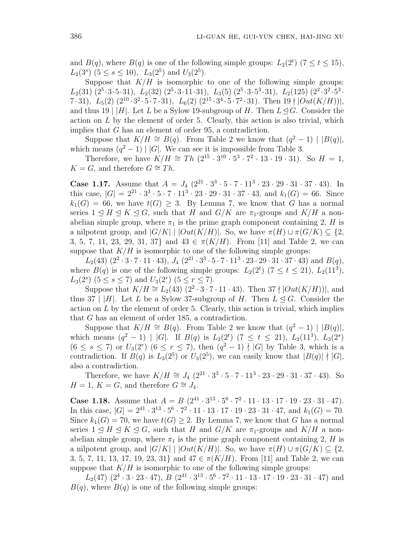and  $B(q)$ , where  $B(q)$  is one of the following simple groups:  $L_2(2^t)$  ( $7 \le t \le 15$ ),  $L_2(3^s)$   $(5 \le s \le 10)$ ,  $L_3(2^5)$  and  $U_3(2^5)$ .

Suppose that  $K/H$  is isomorphic to one of the following simple groups:  $L_2(31)$   $(2^5 \cdot 3 \cdot 5 \cdot 31)$ ,  $L_2(32)$   $(2^5 \cdot 3 \cdot 11 \cdot 31)$ ,  $L_3(5)$   $(2^5 \cdot 3 \cdot 5^3 \cdot 31)$ ,  $L_2(125)$   $(2^2 \cdot 3^2 \cdot 5^3 \cdot 31)$  $7 \cdot 31$ ,  $L_5(2)$   $(2^{10} \cdot 3^2 \cdot 5 \cdot 7 \cdot 31)$ ,  $L_6(2)$   $(2^{15} \cdot 3^4 \cdot 5 \cdot 7^2 \cdot 31)$ . Then  $19 \nmid |Out(K/H)|$ , and thus 19 |  $|H|$ . Let *L* be a Sylow 19-subgroup of *H*. Then  $L \leq G$ . Consider the action on *L* by the element of order 5. Clearly, this action is also trivial, which implies that *G* has an element of order 95, a contradiction.

Suppose that  $K/H \cong B(q)$ . From Table 2 we know that  $(q^2 - 1) | B(q)|$ , which means  $(q^2 - 1)$  | |G|. We can see it is impossible from Table 3.

Therefore, we have  $K/H \cong Th (2^{15} \cdot 3^{10} \cdot 5^3 \cdot 7^2 \cdot 13 \cdot 19 \cdot 31)$ . So  $H = 1$ , *K* = *G*, and therefore *G*  $\cong$  *Th*.

**Case 1.17.** Assume that  $A = J_4 (2^{21} \cdot 3^3 \cdot 5 \cdot 7 \cdot 11^3 \cdot 23 \cdot 29 \cdot 31 \cdot 37 \cdot 43)$ . In this case,  $|G| = 2^{21} \cdot 3^3 \cdot 5 \cdot 7 \cdot 11^3 \cdot 23 \cdot 29 \cdot 31 \cdot 37 \cdot 43$ , and  $k_1(G) = 66$ . Since  $k_1(G) = 66$ , we have  $t(G) \geq 3$ . By Lemma 7, we know that *G* has a normal series  $1 \leq H \leq K \leq G$ , such that *H* and *G/K* are  $\pi_1$ -groups and *K/H* a nonabelian simple group, where  $\pi_1$  is the prime graph component containing 2, *H* is a nilpotent group, and  $|G/K|$  |  $|Out(K/H)|$ . So, we have  $\pi(H) \cup \pi(G/K) \subseteq \{2,$ 3, 5, 7, 11, 23, 29, 31, 37} and  $43 \in \pi(K/H)$ . From [11] and Table 2, we can suppose that  $K/H$  is isomorphic to one of the following simple groups:

 $L_2(43)(2^2 \cdot 3 \cdot 7 \cdot 11 \cdot 43), J_4(2^{21} \cdot 3^3 \cdot 5 \cdot 7 \cdot 11^3 \cdot 23 \cdot 29 \cdot 31 \cdot 37 \cdot 43)$  and  $B(q)$ , where  $B(q)$  is one of the following simple groups:  $L_2(2^t)$  ( $7 \le t \le 21$ ),  $L_2(11^3)$ ,  $L_3(2^s)$  (5  $\leq$  *s*  $\leq$  7) and  $U_3(2^r)$  (5  $\leq$  *r*  $\leq$  7).

Suppose that  $K/H \cong L_2(43)$  (2<sup>2</sup> · 3 · 7 · 11 · 43). Then 37  $\nmid |Out(K/H)|$ , and thus 37 | |*H*|. Let *L* be a Sylow 37-subgroup of *H*. Then  $L \triangleleft G$ . Consider the action on *L* by the element of order 5. Clearly, this action is trivial, which implies that *G* has an element of order 185, a contradiction.

Suppose that  $K/H \cong B(q)$ . From Table 2 we know that  $(q^2 - 1) | B(q)|$ , which means  $(q^2 - 1)$  | |G|. If  $B(q)$  is  $L_2(2^t)$  (7  $\leq t \leq 21$ ),  $L_2(11^3)$ ,  $L_3(2^s)$  $(6 ≤ s ≤ 7)$  or  $U_3(2^r)$   $(6 ≤ r ≤ 7)$ , then  $(q^2 - 1) \nmid |G|$  by Table 3, which is a contradiction. If  $B(q)$  is  $L_3(2^5)$  or  $U_3(2^5)$ , we can easily know that  $|B(q)| \nmid |G|$ , also a contradiction.

Therefore, we have  $K/H \cong J_4 (2^{21} \cdot 3^3 \cdot 5 \cdot 7 \cdot 11^3 \cdot 23 \cdot 29 \cdot 31 \cdot 37 \cdot 43)$ . So *H* = 1, *K* = *G*, and therefore *G*  $\cong$  *J*<sub>4</sub>.

**Case 1.18.** Assume that  $A = B\left(2^{41} \cdot 3^{13} \cdot 5^6 \cdot 7^2 \cdot 11 \cdot 13 \cdot 17 \cdot 19 \cdot 23 \cdot 31 \cdot 47\right)$ . In this case,  $|G| = 2^{41} \cdot 3^{13} \cdot 5^6 \cdot 7^2 \cdot 11 \cdot 13 \cdot 17 \cdot 19 \cdot 23 \cdot 31 \cdot 47$ , and  $k_1(G) = 70$ . Since  $k_1(G) = 70$ , we have  $t(G) \geq 2$ . By Lemma 7, we know that *G* has a normal series  $1 \leq H \leq K \leq G$ , such that *H* and *G/K* are  $\pi_1$ -groups and *K/H* a nonabelian simple group, where  $\pi_1$  is the prime graph component containing 2, *H* is a nilpotent group, and  $|G/K|$  |  $|Out(K/H)|$ . So, we have  $\pi(H) \cup \pi(G/K) \subseteq \{2,$ 3, 5, 7, 11, 13, 17, 19, 23, 31} and  $47 \in \pi(K/H)$ . From [11] and Table 2, we can suppose that  $K/H$  is isomorphic to one of the following simple groups:

 $L_2(47)$   $(2^4 \cdot 3 \cdot 23 \cdot 47)$ ,  $B$   $(2^{41} \cdot 3^{13} \cdot 5^6 \cdot 7^2 \cdot 11 \cdot 13 \cdot 17 \cdot 19 \cdot 23 \cdot 31 \cdot 47)$  and  $B(q)$ , where  $B(q)$  is one of the following simple groups: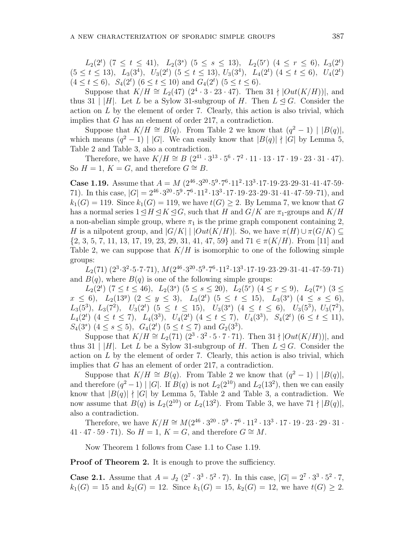$L_2(2^t)$  (7  $\leq t \leq 41$ ),  $L_2(3^s)$  (5  $\leq s \leq 13$ ),  $L_2(5^r)$  (4  $\leq r \leq 6$ ),  $L_3(2^t)$  $(5 \le t \le 13)$ ,  $L_3(3^4)$ ,  $U_3(2^t)$   $(5 \le t \le 13)$ ,  $U_3(3^4)$ ,  $L_4(2^t)$   $(4 \le t \le 6)$ ,  $U_4(2^t)$  $(4 \le t \le 6)$ ,  $S_4(2^t)$   $(6 \le t \le 10)$  and  $G_4(2^t)$   $(5 \le t \le 6)$ .

Suppose that  $K/H \cong L_2(47)$   $(2^4 \cdot 3 \cdot 23 \cdot 47)$ . Then 31  $\nmid |Out(K/H)|$ , and thus 31 | |*H*|. Let *L* be a Sylow 31-subgroup of *H*. Then  $L \triangleleft G$ . Consider the action on *L* by the element of order 7. Clearly, this action is also trivial, which implies that *G* has an element of order 217, a contradiction.

Suppose that  $K/H \cong B(q)$ . From Table 2 we know that  $(q^2 - 1) | B(q)|$ , which means  $(q^2 - 1) | G$ . We can easily know that  $|B(q)| | G$  by Lemma 5, Table 2 and Table 3, also a contradiction.

Therefore, we have  $K/H \cong B(2^{41} \cdot 3^{13} \cdot 5^6 \cdot 7^2 \cdot 11 \cdot 13 \cdot 17 \cdot 19 \cdot 23 \cdot 31 \cdot 47)$ . So  $H = 1$ ,  $K = G$ , and therefore  $G \cong B$ .

**Case 1.19.** Assume that  $A = M(2^{46} \cdot 3^{20} \cdot 5^9 \cdot 7^6 \cdot 11^2 \cdot 13^3 \cdot 17 \cdot 19 \cdot 23 \cdot 29 \cdot 31 \cdot 41 \cdot 47 \cdot 59 \cdot$ 71). In this case,  $|G| = 2^{46} \cdot 3^{20} \cdot 5^9 \cdot 7^6 \cdot 11^2 \cdot 13^3 \cdot 17 \cdot 19 \cdot 23 \cdot 29 \cdot 31 \cdot 41 \cdot 47 \cdot 59 \cdot 71$ , and  $k_1(G) = 119$ . Since  $k_1(G) = 119$ , we have  $t(G) \geq 2$ . By Lemma 7, we know that *G* has a normal series  $1 \leq H \leq K \leq G$ , such that *H* and  $G/K$  are  $\pi_1$ -groups and  $K/H$ a non-abelian simple group, where  $\pi_1$  is the prime graph component containing 2, *H* is a nilpotent group, and  $|G/K|$  |  $|Out(K/H)|$ . So, we have  $\pi(H) \cup \pi(G/K) \subseteq$ *{*2, 3, 5, 7, 11, 13, 17, 19, 23, 29, 31, 41, 47, 59*}* and 71 *∈ π*(*K/H*). From [11] and Table 2, we can suppose that  $K/H$  is isomorphic to one of the following simple groups:

 $L_2(71)$   $(2^3 \cdot 3^2 \cdot 5 \cdot 7 \cdot 71)$ ,  $M(2^{46} \cdot 3^{20} \cdot 5^9 \cdot 7^6 \cdot 11^2 \cdot 13^3 \cdot 17 \cdot 19 \cdot 23 \cdot 29 \cdot 31 \cdot 41 \cdot 47 \cdot 59 \cdot 71)$ and  $B(q)$ , where  $B(q)$  is one of the following simple groups:

 $L_2(2^t)$  (7  $\le t \le 46$ ),  $L_2(3^s)$  (5  $\le s \le 20$ ),  $L_2(5^r)$  (4  $\le r \le 9$ ),  $L_2(7^x)$  (3  $\le$  $x \leq 6$ ,  $L_2(13^y)$   $(2 \leq y \leq 3)$ ,  $L_3(2^t)$   $(5 \leq t \leq 15)$ ,  $L_3(3^s)$   $(4 \leq s \leq 6)$ ,  $L_3(5^3)$ ,  $L_3(7^2)$ ,  $U_3(2^t)$  (5  $\leq t \leq 15$ ),  $U_3(3^s)$  (4  $\leq t \leq 6$ ),  $U_3(5^3)$ ,  $U_3(7^2)$ ,  $L_4(2^t)$   $(4 \le t \le 7)$ ,  $L_4(3^3)$ ,  $U_4(2^t)$   $(4 \le t \le 7)$ ,  $U_4(3^3)$ ,  $S_4(2^t)$   $(6 \le t \le 11)$ , *S*<sub>4</sub>(3<sup>*s*</sup>) (4 ≤ *s* ≤ 5), *G*<sub>4</sub>(2<sup>*t*</sup>) (5 ≤ *t* ≤ 7) and *G*<sub>2</sub>(3<sup>3</sup>).

Suppose that  $K/H \cong L_2(71)$   $(2^3 \cdot 3^2 \cdot 5 \cdot 7 \cdot 71)$ . Then  $31 \nmid |Out(K/H)|$ , and thus 31 | |*H*|. Let *L* be a Sylow 31-subgroup of *H*. Then  $L \leq G$ . Consider the action on *L* by the element of order 7. Clearly, this action is also trivial, which implies that *G* has an element of order 217, a contradiction.

Suppose that  $K/H \cong B(q)$ . From Table 2 we know that  $(q^2 - 1) | B(q)|$ , and therefore  $(q^2 - 1)$  | |G|. If  $B(q)$  is not  $L_2(2^{10})$  and  $L_2(13^2)$ , then we can easily know that  $|B(q)| \nmid |G|$  by Lemma 5, Table 2 and Table 3, a contradiction. We now assume that  $B(q)$  is  $L_2(2^{10})$  or  $L_2(13^2)$ . From Table 3, we have  $71 \nmid |B(q)|$ , also a contradiction.

Therefore, we have  $K/H \cong M(2^{46} \cdot 3^{20} \cdot 5^9 \cdot 7^6 \cdot 11^2 \cdot 13^3 \cdot 17 \cdot 19 \cdot 23 \cdot 29 \cdot 31 \cdot 13^5 \cdot 13^5 \cdot 13^5 \cdot 13^5 \cdot 13^5 \cdot 13^5 \cdot 13^5 \cdot 13^5 \cdot 13^5 \cdot 13^5 \cdot 13^5 \cdot 13^5 \cdot 13^5 \cdot 13^5 \cdot 13^5 \cdot 13^5 \cdot 13^5 \cdot 13^5 \cdot 1$  $41 \cdot 47 \cdot 59 \cdot 71$ . So  $H = 1, K = G$ , and therefore  $G \cong M$ .

Now Theorem 1 follows from Case 1.1 to Case 1.19.

**Proof of Theorem 2.** It is enough to prove the sufficiency.

**Case 2.1.** Assume that  $A = J_2 (2^7 \cdot 3^3 \cdot 5^2 \cdot 7)$ . In this case,  $|G| = 2^7 \cdot 3^3 \cdot 5^2 \cdot 7$ ,  $k_1(G) = 15$  and  $k_2(G) = 12$ . Since  $k_1(G) = 15$ ,  $k_2(G) = 12$ , we have  $t(G) \geq 2$ .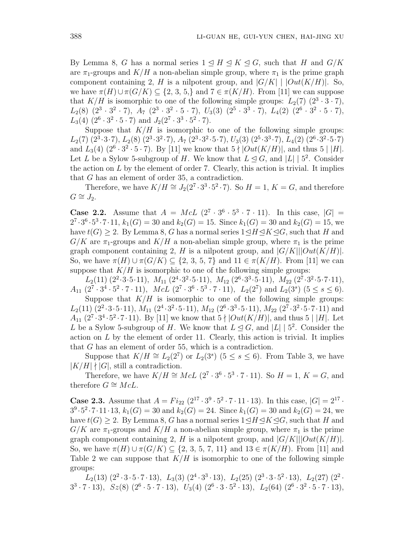By Lemma 8, *G* has a normal series  $1 \leq H \leq K \leq G$ , such that *H* and  $G/K$ are  $\pi_1$ -groups and  $K/H$  a non-abelian simple group, where  $\pi_1$  is the prime graph component containing 2, *H* is a nilpotent group, and  $|G/K|$  |  $|Out(K/H)|$ . So, we have  $\pi(H) \cup \pi(G/K) \subseteq \{2, 3, 5\}$  and  $7 \in \pi(K/H)$ . From [11] we can suppose that  $K/H$  is isomorphic to one of the following simple groups:  $L_2(7)$   $(2^3 \cdot 3 \cdot 7)$ ,  $L_2(8)$   $(2^3 \cdot 3^2 \cdot 7)$ ,  $A_7$   $(2^3 \cdot 3^2 \cdot 5 \cdot 7)$ ,  $U_3(3)$   $(2^5 \cdot 3^3 \cdot 7)$ ,  $L_4(2)$   $(2^6 \cdot 3^2 \cdot 5 \cdot 7)$ ,  $L_3(4)$   $(2^6 \cdot 3^2 \cdot 5 \cdot 7)$  and  $J_2(2^7 \cdot 3^3 \cdot 5^2 \cdot 7)$ .

Suppose that  $K/H$  is isomorphic to one of the following simple groups:  $L_2(7)$   $(2^3 \cdot 3 \cdot 7), L_2(8)$   $(2^3 \cdot 3^2 \cdot 7), A_7$   $(2^3 \cdot 3^2 \cdot 5 \cdot 7), U_3(3)$   $(2^5 \cdot 3^3 \cdot 7), L_4(2)$   $(2^6 \cdot 3^2 \cdot 5 \cdot 7)$ and  $L_3(4)$   $(2^6 \cdot 3^2 \cdot 5 \cdot 7)$ . By [11] we know that  $5 \nmid |Out(K/H)|$ , and thus  $5 \nmid |H|$ . Let *L* be a Sylow 5-subgroup of *H*. We know that  $L \leq G$ , and  $|L| \mid 5^2$ . Consider the action on *L* by the element of order 7. Clearly, this action is trivial. It implies that *G* has an element of order 35, a contradiction.

Therefore, we have  $K/H \cong J_2(2^7 \cdot 3^3 \cdot 5^2 \cdot 7)$ . So  $H = 1, K = G$ , and therefore  $G ≅ J_2$ .

**Case 2.2.** Assume that  $A = McL$  ( $2^7 \cdot 3^6 \cdot 5^3 \cdot 7 \cdot 11$ ). In this case,  $|G|$  =  $2^7 \cdot 3^6 \cdot 5^3 \cdot 7 \cdot 11$ ,  $k_1(G) = 30$  and  $k_2(G) = 15$ . Since  $k_1(G) = 30$  and  $k_2(G) = 15$ , we have  $t(G) \geq 2$ . By Lemma 8, *G* has a normal series  $1 \leq H \leq K \leq G$ , such that *H* and  $G/K$  are  $\pi_1$ -groups and  $K/H$  a non-abelian simple group, where  $\pi_1$  is the prime graph component containing 2, *H* is a nilpotent group, and  $|G/K|||Out(K/H)|$ . So, we have  $\pi(H)$  *∪*  $\pi(G/K)$  ⊆ {2, 3, 5, 7} and 11 ∈  $\pi(K/H)$ . From [11] we can suppose that  $K/H$  is isomorphic to one of the following simple groups:

 $L_2(11)$   $(2^2 \cdot 3 \cdot 5 \cdot 11)$ ,  $M_{11}$   $(2^4 \cdot 3^2 \cdot 5 \cdot 11)$ ,  $M_{12}$   $(2^6 \cdot 3^3 \cdot 5 \cdot 11)$ ,  $M_{22}$   $(2^7 \cdot 3^2 \cdot 5 \cdot 7 \cdot 11)$ ,  $A_{11}$   $(2^7 \cdot 3^4 \cdot 5^2 \cdot 7 \cdot 11)$ ,  $McL$   $(2^7 \cdot 3^6 \cdot 5^3 \cdot 7 \cdot 11)$ ,  $L_2(2^7)$  and  $L_2(3^s)$   $(5 \le s \le 6)$ .

Suppose that  $K/H$  is isomorphic to one of the following simple groups:  $L_2(11)$   $(2^2 \cdot 3 \cdot 5 \cdot 11)$ ,  $M_{11}$   $(2^4 \cdot 3^2 \cdot 5 \cdot 11)$ ,  $M_{12}$   $(2^6 \cdot 3^3 \cdot 5 \cdot 11)$ ,  $M_{22}$   $(2^7 \cdot 3^2 \cdot 5 \cdot 7 \cdot 11)$  and *A*<sub>11</sub>  $(2^7 \cdot 3^4 \cdot 5^2 \cdot 7 \cdot 11)$ . By [11] we know that  $5 \nmid |Out(K/H)|$ , and thus  $5 \nmid |H|$ . Let *L* be a Sylow 5-subgroup of *H*. We know that  $L \leq G$ , and  $|L| \mid 5^2$ . Consider the action on *L* by the element of order 11. Clearly, this action is trivial. It implies that *G* has an element of order 55, which is a contradiction.

Suppose that  $K/H \cong L_2(2^7)$  or  $L_2(3^s)$  (5 ≤ *s* ≤ 6). From Table 3, we have  $|K/H|$   $\neq$   $|G|$ , still a contradiction.

Therefore, we have  $K/H \cong McL$  ( $2^7 \cdot 3^6 \cdot 5^3 \cdot 7 \cdot 11$ ). So  $H = 1, K = G$ , and therefore  $G \cong McL$ .

**Case 2.3.** Assume that  $A = Fi_{22} (2^{17} \cdot 3^9 \cdot 5^2 \cdot 7 \cdot 11 \cdot 13)$ . In this case,  $|G| = 2^{17} \cdot$  $3^9 \cdot 5^2 \cdot 7 \cdot 11 \cdot 13$ ,  $k_1(G) = 30$  and  $k_2(G) = 24$ . Since  $k_1(G) = 30$  and  $k_2(G) = 24$ , we have  $t(G) \geq 2$ . By Lemma 8, *G* has a normal series  $1 \leq H \leq K \leq G$ , such that *H* and  $G/K$  are  $\pi_1$ -groups and  $K/H$  a non-abelian simple group, where  $\pi_1$  is the prime graph component containing 2, *H* is a nilpotent group, and  $|G/K|||Out(K/H)|$ . So, we have  $\pi(H)$  *∪*  $\pi(G/K)$  ⊆ {2, 3, 5, 7, 11} and 13 ∈  $\pi(K/H)$ . From [11] and Table 2 we can suppose that  $K/H$  is isomorphic to one of the following simple groups:

 $L_2(13)(2^2 \cdot 3 \cdot 5 \cdot 7 \cdot 13), L_3(3)(2^4 \cdot 3^3 \cdot 13), L_2(25)(2^3 \cdot 3 \cdot 5^2 \cdot 13), L_2(27)(2^2 \cdot$  $3^3 \cdot 7 \cdot 13$ ,  $Sz(8)$   $(2^6 \cdot 5 \cdot 7 \cdot 13)$ ,  $U_3(4)$   $(2^6 \cdot 3 \cdot 5^2 \cdot 13)$ ,  $L_2(64)$   $(2^6 \cdot 3^2 \cdot 5 \cdot 7 \cdot 13)$ ,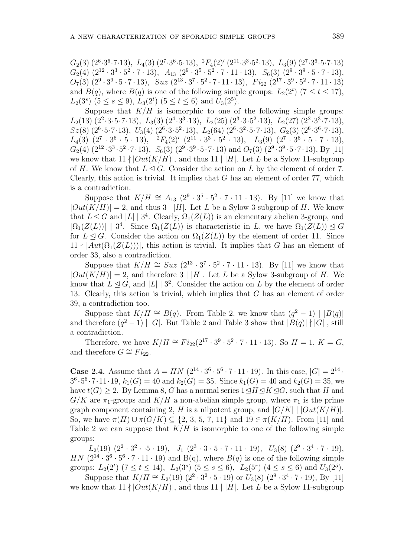$G_2(3)$   $(2^6 \cdot 3^6 \cdot 7 \cdot 13)$ ,  $L_4(3)$   $(2^7 \cdot 3^6 \cdot 5 \cdot 13)$ ,  ${}^2F_4(2)'$   $(2^{11} \cdot 3^3 \cdot 5^2 \cdot 13)$ ,  $L_3(9)$   $(2^7 \cdot 3^6 \cdot 5 \cdot 7 \cdot 13)$  $G_2(4)$   $(2^{12} \cdot 3^3 \cdot 5^2 \cdot 7 \cdot 13), \ A_{13}$   $(2^9 \cdot 3^5 \cdot 5^2 \cdot 7 \cdot 11 \cdot 13), \ S_6(3)$   $(2^9 \cdot 3^9 \cdot 5 \cdot 7 \cdot 13),$  $O_7(3)$   $(2^9 \cdot 3^9 \cdot 5 \cdot 7 \cdot 13)$ ,  $Suz$   $(2^{13} \cdot 3^7 \cdot 5^2 \cdot 7 \cdot 11 \cdot 13)$ ,  $Fi_{22}$   $(2^{17} \cdot 3^9 \cdot 5^2 \cdot 7 \cdot 11 \cdot 13)$ and  $B(q)$ , where  $B(q)$  is one of the following simple groups:  $L_2(2^t)$  ( $7 \le t \le 17$ ),  $L_2(3^s)$   $(5 \le s \le 9)$ ,  $L_3(2^t)$   $(5 \le t \le 6)$  and  $U_3(2^5)$ .

Suppose that  $K/H$  is isomorphic to one of the following simple groups:  $L_2(13)(2^2 \cdot 3 \cdot 5 \cdot 7 \cdot 13), L_3(3)(2^4 \cdot 3^3 \cdot 13), L_2(25)(2^3 \cdot 3 \cdot 5^2 \cdot 13), L_2(27)(2^2 \cdot 3^3 \cdot 7 \cdot 13),$  $Sz(8)$   $(2^6 \cdot 5 \cdot 7 \cdot 13)$ ,  $U_3(4)$   $(2^6 \cdot 3 \cdot 5^2 \cdot 13)$ ,  $L_2(64)$   $(2^6 \cdot 3^2 \cdot 5 \cdot 7 \cdot 13)$ ,  $G_2(3)$   $(2^6 \cdot 3^6 \cdot 7 \cdot 13)$ ,  $L_4(3)$   $(2^7 \cdot 3^6 \cdot 5 \cdot 13), \quad {}^2F_4(2)'$   $(2^{11} \cdot 3^3 \cdot 5^2 \cdot 13), \quad L_3(9)$   $(2^7 \cdot 3^6 \cdot 5 \cdot 7 \cdot 13),$  $G_2(4)$   $(2^{12} \cdot 3^3 \cdot 5^2 \cdot 7 \cdot 13)$ ,  $S_6(3)$   $(2^9 \cdot 3^9 \cdot 5 \cdot 7 \cdot 13)$  and  $O_7(3)$   $(2^9 \cdot 3^9 \cdot 5 \cdot 7 \cdot 13)$ , By [11] we know that  $11 \nmid |Out(K/H)|$ , and thus  $11 \nmid |H|$ . Let *L* be a Sylow 11-subgroup of *H*. We know that  $L \leq G$ . Consider the action on *L* by the element of order 7. Clearly, this action is trivial. It implies that *G* has an element of order 77, which is a contradiction.

Suppose that  $K/H \cong A_{13} (2^9 \cdot 3^5 \cdot 5^2 \cdot 7 \cdot 11 \cdot 13)$ . By [11] we know that  $|Out(K/H)| = 2$ , and thus 3 | |*H*|. Let *L* be a Sylow 3-subgroup of *H*. We know that  $L \leq G$  and  $|L| \geq 3^4$ . Clearly,  $\Omega_1(Z(L))$  is an elementary abelian 3-group, and  $|\Omega_1(Z(L))|$  | 3<sup>4</sup>. Since  $\Omega_1(Z(L))$  is characteristic in *L*, we have  $\Omega_1(Z(L)) \leq G$ for  $L \triangleleft G$ . Consider the action on  $\Omega_1(Z(L))$  by the element of order 11. Since  $11 \nmid |Aut(\Omega_1(Z(L)))|$ , this action is trivial. It implies that *G* has an element of order 33, also a contradiction.

Suppose that  $K/H \cong Suz$  ( $2^{13} \cdot 3^7 \cdot 5^2 \cdot 7 \cdot 11 \cdot 13$ ). By [11] we know that  $|Out(K/H)| = 2$ , and therefore 3 | |*H*|. Let *L* be a Sylow 3-subgroup of *H*. We know that  $L \leq G$ , and  $|L| \geq 3^2$ . Consider the action on *L* by the element of order 13. Clearly, this action is trivial, which implies that *G* has an element of order 39, a contradiction too.

Suppose that  $K/H \cong B(q)$ . From Table 2, we know that  $(q^2 - 1) |B(q)|$ and therefore  $(q^2 - 1) | |G|$ . But Table 2 and Table 3 show that  $|B(q)| |G|$ , still a contradiction.

Therefore, we have  $K/H \cong Fi_{22}(2^{17} \cdot 3^9 \cdot 5^2 \cdot 7 \cdot 11 \cdot 13)$ . So  $H = 1, K = G$ , and therefore  $G \cong Fi_{22}$ .

**Case 2.4.** Assume that  $A = HN$  ( $2^{14} \cdot 3^6 \cdot 5^6 \cdot 7 \cdot 11 \cdot 19$ ). In this case,  $|G| = 2^{14} \cdot$  $3^6 \cdot 5^6 \cdot 7 \cdot 11 \cdot 19$ ,  $k_1(G) = 40$  and  $k_2(G) = 35$ . Since  $k_1(G) = 40$  and  $k_2(G) = 35$ , we have  $t(G) \geq 2$ . By Lemma 8, *G* has a normal series  $1 \leq H \leq K \leq G$ , such that *H* and  $G/K$  are  $\pi_1$ -groups and  $K/H$  a non-abelian simple group, where  $\pi_1$  is the prime graph component containing 2, *H* is a nilpotent group, and  $|G/K|$  |  $|Out(K/H)|$ . So, we have  $\pi(H)$  *∪*  $\pi(G/K)$  ⊆ {2, 3, 5, 7, 11} and 19 ∈  $\pi(K/H)$ . From [11] and Table 2 we can suppose that  $K/H$  is isomorphic to one of the following simple groups:

 $L_2(19)$   $(2^2 \cdot 3^2 \cdot \cdot 5 \cdot 19)$ ,  $J_1$   $(2^3 \cdot 3 \cdot 5 \cdot 7 \cdot 11 \cdot 19)$ ,  $U_3(8)$   $(2^9 \cdot 3^4 \cdot 7 \cdot 19)$ , *HN*  $(2^{14} \cdot 3^6 \cdot 5^6 \cdot 7 \cdot 11 \cdot 19)$  and B(q), where  $B(q)$  is one of the following simple groups:  $L_2(2^t)$  (7  $\le t \le 14$ ),  $L_2(3^s)$  (5  $\le s \le 6$ ),  $L_2(5^r)$  (4  $\le s \le 6$ ) and  $U_3(2^5)$ .

Suppose that  $K/H \cong L_2(19)$   $(2^2 \cdot 3^2 \cdot 5 \cdot 19)$  or  $U_3(8)$   $(2^9 \cdot 3^4 \cdot 7 \cdot 19)$ , By [11] we know that  $11 \nmid |Out(K/H)|$ , and thus  $11 \nmid |H|$ . Let *L* be a Sylow 11-subgroup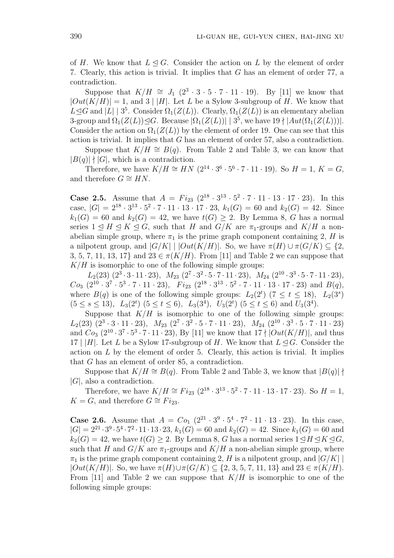of *H*. We know that  $L \triangleleft G$ . Consider the action on *L* by the element of order 7. Clearly, this action is trivial. It implies that *G* has an element of order 77, a contradiction.

Suppose that  $K/H \cong J_1$  ( $2^3 \cdot 3 \cdot 5 \cdot 7 \cdot 11 \cdot 19$ ). By [11] we know that  $|Out(K/H)| = 1$ , and 3 | |*H*|. Let *L* be a Sylow 3-subgroup of *H*. We know that  $L \leq G$  and  $|L|$  | 3<sup>5</sup>. Consider  $\Omega_1(Z(L))$ . Clearly,  $\Omega_1(Z(L))$  is an elementary abelian 3-group and  $\Omega_1(Z(L)) \trianglelefteq G$ . Because  $|\Omega_1(Z(L))| \mid 3^5$ , we have  $19 \nmid |Aut(\Omega_1(Z(L)))|$ . Consider the action on  $\Omega_1(Z(L))$  by the element of order 19. One can see that this action is trivial. It implies that *G* has an element of order 57, also a contradiction.

Suppose that  $K/H \cong B(q)$ . From Table 2 and Table 3, we can know that  $|B(q)| \nmid |G|$ , which is a contradiction.

Therefore, we have  $K/H \cong HN$  ( $2^{14} \cdot 3^6 \cdot 5^6 \cdot 7 \cdot 11 \cdot 19$ ). So  $H = 1, K = G$ , and therefore  $G \cong HN$ .

**Case 2.5.** Assume that  $A = Fi_{23}$   $(2^{18} \cdot 3^{13} \cdot 5^2 \cdot 7 \cdot 11 \cdot 13 \cdot 17 \cdot 23)$ . In this case,  $|G| = 2^{18} \cdot 3^{13} \cdot 5^2 \cdot 7 \cdot 11 \cdot 13 \cdot 17 \cdot 23$ ,  $k_1(G) = 60$  and  $k_2(G) = 42$ . Since  $k_1(G) = 60$  and  $k_2(G) = 42$ , we have  $t(G) \geq 2$ . By Lemma 8, *G* has a normal series  $1 \leq H \leq K \leq G$ , such that *H* and *G/K* are  $\pi_1$ -groups and *K/H* a nonabelian simple group, where  $\pi_1$  is the prime graph component containing 2, *H* is a nilpotent group, and  $|G/K|$  |  $|Out(K/H)|$ . So, we have  $\pi(H) \cup \pi(G/K) \subseteq \{2,$ 3, 5, 7, 11, 13, 17} and  $23 \in \pi(K/H)$ . From [11] and Table 2 we can suppose that  $K/H$  is isomorphic to one of the following simple groups:

 $L_2(23)(2^3 \cdot 3 \cdot 11 \cdot 23), M_{23}(2^7 \cdot 3^2 \cdot 5 \cdot 7 \cdot 11 \cdot 23), M_{24}(2^{10} \cdot 3^3 \cdot 5 \cdot 7 \cdot 11 \cdot 23),$  $Co_3$   $(2^{10} \cdot 3^7 \cdot 5^3 \cdot 7 \cdot 11 \cdot 23)$ ,  $Fi_{23}$   $(2^{18} \cdot 3^{13} \cdot 5^2 \cdot 7 \cdot 11 \cdot 13 \cdot 17 \cdot 23)$  and  $B(q)$ , where  $B(q)$  is one of the following simple groups:  $L_2(2^t)$  (7  $\leq t \leq 18$ ),  $L_2(3^s)$  $(5 \le s \le 13)$ ,  $L_3(2^t)$   $(5 \le t \le 6)$ ,  $L_3(3^4)$ ,  $U_3(2^t)$   $(5 \le t \le 6)$  and  $U_3(3^4)$ .

Suppose that  $K/H$  is isomorphic to one of the following simple groups:  $L_2(23)$   $(2^3 \cdot 3 \cdot 11 \cdot 23)$ ,  $M_{23}$   $(2^7 \cdot 3^2 \cdot 5 \cdot 7 \cdot 11 \cdot 23)$ ,  $M_{24}$   $(2^{10} \cdot 3^3 \cdot 5 \cdot 7 \cdot 11 \cdot 23)$ and  $Co_3$   $(2^{10} \cdot 3^7 \cdot 5^3 \cdot 7 \cdot 11 \cdot 23)$ , By [11] we know that  $17 \nmid |Out(K/H)|$ , and thus 17 |  $|H|$ . Let *L* be a Sylow 17-subgroup of *H*. We know that  $L \leq G$ . Consider the action on *L* by the element of order 5. Clearly, this action is trivial. It implies that *G* has an element of order 85, a contradiction.

Suppose that  $K/H \cong B(q)$ . From Table 2 and Table 3, we know that  $|B(q)|$  + *|G|*, also a contradiction.

Therefore, we have  $K/H \cong Fi_{23} (2^{18} \cdot 3^{13} \cdot 5^2 \cdot 7 \cdot 11 \cdot 13 \cdot 17 \cdot 23)$ . So  $H = 1$ , *K* = *G*, and therefore *G*  $\cong$  *Fi*<sub>23</sub>.

**Case 2.6.** Assume that  $A = Co_1 (2^{21} \cdot 3^9 \cdot 5^4 \cdot 7^2 \cdot 11 \cdot 13 \cdot 23)$ . In this case,  $|G| = 2^{21} \cdot 3^9 \cdot 5^4 \cdot 7^2 \cdot 11 \cdot 13 \cdot 23$ ,  $k_1(G) = 60$  and  $k_2(G) = 42$ . Since  $k_1(G) = 60$  and  $k_2(G) = 42$ , we have  $t(G) \geq 2$ . By Lemma 8, *G* has a normal series  $1 \leq H \leq K \leq G$ , such that *H* and  $G/K$  are  $\pi_1$ -groups and  $K/H$  a non-abelian simple group, where  $\pi_1$  is the prime graph component containing 2, *H* is a nilpotent group, and  $|G/K|$ *|Out*(*K/H*)|. So, we have  $\pi$ (*H*)∪ $\pi$ (*G/K*) ⊂ {2, 3, 5, 7, 11, 13} and 23 ∈  $\pi$ (*K/H*). From [11] and Table 2 we can suppose that *K/H* is isomorphic to one of the following simple groups: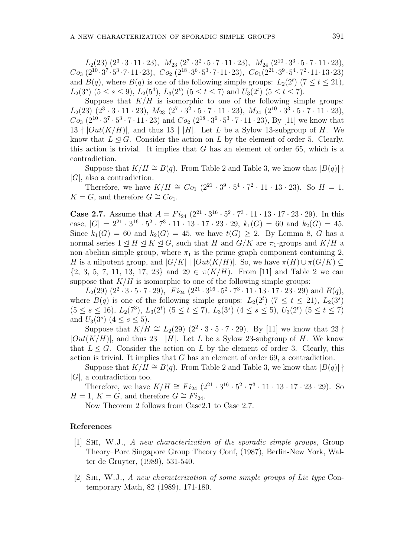$L_2(23)(2^3 \cdot 3 \cdot 11 \cdot 23), M_{23}(2^7 \cdot 3^2 \cdot 5 \cdot 7 \cdot 11 \cdot 23), M_{24}(2^{10} \cdot 3^3 \cdot 5 \cdot 7 \cdot 11 \cdot 23),$  $Co_{3}(2^{10}\cdot3^{7}\cdot5^{3}\cdot7\cdot11\cdot23),~Co_{2}(2^{18}\cdot3^{6}\cdot5^{3}\cdot7\cdot11\cdot23),~Co_{1}(2^{21}\cdot3^{9}\cdot5^{4}\cdot7^{2}\cdot11\cdot13\cdot23)$ and  $B(q)$ , where  $B(q)$  is one of the following simple groups:  $L_2(2^t)$  ( $7 \le t \le 21$ ), *L*<sub>2</sub>(3<sup>*s*</sup>) (5 ≤ *s* ≤ 9), *L*<sub>2</sub>(5<sup>4</sup>), *L*<sub>3</sub>(2<sup>*t*</sup>) (5 ≤ *t* ≤ 7) and *U*<sub>3</sub>(2<sup>*t*</sup>) (5 ≤ *t* ≤ 7).

Suppose that  $K/H$  is isomorphic to one of the following simple groups:  $L_2(23)(2^3 \cdot 3 \cdot 11 \cdot 23), M_{23}(2^7 \cdot 3^2 \cdot 5 \cdot 7 \cdot 11 \cdot 23), M_{24}(2^{10} \cdot 3^3 \cdot 5 \cdot 7 \cdot 11 \cdot 23),$  $Co_3$   $(2^{10} \cdot 3^7 \cdot 5^3 \cdot 7 \cdot 11 \cdot 23)$  and  $Co_2$   $(2^{18} \cdot 3^6 \cdot 5^3 \cdot 7 \cdot 11 \cdot 23)$ , By [11] we know that  $13 \nmid |Out(K/H)|$ , and thus  $13 \nmid |H|$ . Let *L* be a Sylow 13-subgroup of *H*. We know that  $L \leq G$ . Consider the action on *L* by the element of order 5. Clearly, this action is trivial. It implies that *G* has an element of order 65, which is a contradiction.

Suppose that  $K/H \cong B(q)$ . From Table 2 and Table 3, we know that  $|B(q)|$   $\nmid$ *|G|*, also a contradiction.

Therefore, we have  $K/H \cong Co_1(2^{21} \cdot 3^9 \cdot 5^4 \cdot 7^2 \cdot 11 \cdot 13 \cdot 23)$ . So  $H = 1$ , *K* = *G*, and therefore *G*  $\cong$  *Co*<sub>1</sub>.

**Case 2.7.** Assume that  $A = Fi_{24} (2^{21} \cdot 3^{16} \cdot 5^2 \cdot 7^3 \cdot 11 \cdot 13 \cdot 17 \cdot 23 \cdot 29)$ . In this case,  $|G| = 2^{21} \cdot 3^{16} \cdot 5^2 \cdot 7^3 \cdot 11 \cdot 13 \cdot 17 \cdot 23 \cdot 29$ ,  $k_1(G) = 60$  and  $k_2(G) = 45$ . Since  $k_1(G) = 60$  and  $k_2(G) = 45$ , we have  $t(G) \geq 2$ . By Lemma 8, *G* has a normal series  $1 \leq H \leq K \leq G$ , such that *H* and  $G/K$  are  $\pi_1$ -groups and  $K/H$  a non-abelian simple group, where  $\pi_1$  is the prime graph component containing 2, *H* is a nilpotent group, and  $|G/K|$  |  $|Out(K/H)|$ . So, we have  $\pi(H) \cup \pi(G/K) \subseteq$ *{*2, 3, 5, 7, 11, 13, 17, 23*}* and 29 *∈ π*(*K/H*). From [11] and Table 2 we can suppose that  $K/H$  is isomorphic to one of the following simple groups:

 $L_2(29)$   $(2^2 \cdot 3 \cdot 5 \cdot 7 \cdot 29)$ ,  $Fi_{24}$   $(2^{21} \cdot 3^{16} \cdot 5^2 \cdot 7^3 \cdot 11 \cdot 13 \cdot 17 \cdot 23 \cdot 29)$  and  $B(q)$ , where  $B(q)$  is one of the following simple groups:  $L_2(2^t)$  ( $7 \le t \le 21$ ),  $L_2(3^s)$  $(5 \le s \le 16)$ ,  $L_2(7^3)$ ,  $L_3(2^t)$   $(5 \le t \le 7)$ ,  $L_3(3^s)$   $(4 \le s \le 5)$ ,  $U_3(2^t)$   $(5 \le t \le 7)$ and  $U_3(3^s)$   $(4 \le s \le 5)$ .

Suppose that  $K/H \cong L_2(29)$   $(2^2 \cdot 3 \cdot 5 \cdot 7 \cdot 29)$ . By [11] we know that 23  $\dagger$  $|Out(K/H)|$ , and thus 23 | |*H*|. Let *L* be a Sylow 23-subgroup of *H*. We know that  $L \triangleleft G$ . Consider the action on L by the element of order 3. Clearly, this action is trivial. It implies that *G* has an element of order 69, a contradiction.

Suppose that  $K/H \cong B(q)$ . From Table 2 and Table 3, we know that  $|B(q)|$   $\uparrow$ *|G|*, a contradiction too.

Therefore, we have  $K/H \cong Fi_{24} (2^{21} \cdot 3^{16} \cdot 5^2 \cdot 7^3 \cdot 11 \cdot 13 \cdot 17 \cdot 23 \cdot 29)$ . So  $H = 1, K = G$ , and therefore  $G \cong Fi_{24}$ .

Now Theorem 2 follows from Case2.1 to Case 2.7.

### **References**

- [1] Shi, W.J., *A new characterization of the sporadic simple groups*, Group Theory–Porc Singapore Group Theory Conf, (1987), Berlin-New York, Walter de Gruyter, (1989), 531-540.
- [2] Shi, W.J., *A new characterization of some simple groups of Lie type* Contemporary Math, 82 (1989), 171-180.